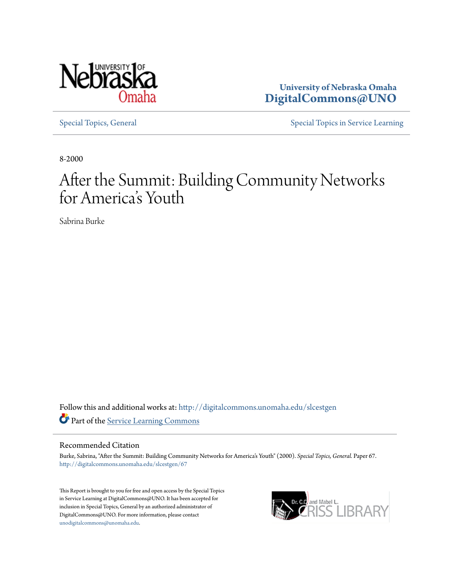

**University of Nebraska Omaha [DigitalCommons@UNO](http://digitalcommons.unomaha.edu?utm_source=digitalcommons.unomaha.edu%2Fslcestgen%2F67&utm_medium=PDF&utm_campaign=PDFCoverPages)**

[Special Topics, General](http://digitalcommons.unomaha.edu/slcestgen?utm_source=digitalcommons.unomaha.edu%2Fslcestgen%2F67&utm_medium=PDF&utm_campaign=PDFCoverPages) [Special Topics in Service Learning](http://digitalcommons.unomaha.edu/slcespecialtopics?utm_source=digitalcommons.unomaha.edu%2Fslcestgen%2F67&utm_medium=PDF&utm_campaign=PDFCoverPages)

8-2000

# After the Summit: Building Community Networks for America 's Youth

Sabrina Burke

Follow this and additional works at: [http://digitalcommons.unomaha.edu/slcestgen](http://digitalcommons.unomaha.edu/slcestgen?utm_source=digitalcommons.unomaha.edu%2Fslcestgen%2F67&utm_medium=PDF&utm_campaign=PDFCoverPages) Part of the [Service Learning Commons](http://network.bepress.com/hgg/discipline/1024?utm_source=digitalcommons.unomaha.edu%2Fslcestgen%2F67&utm_medium=PDF&utm_campaign=PDFCoverPages)

#### Recommended Citation

Burke, Sabrina, "After the Summit: Building Community Networks for America's Youth" (2000). *Special Topics, General.* Paper 67. [http://digitalcommons.unomaha.edu/slcestgen/67](http://digitalcommons.unomaha.edu/slcestgen/67?utm_source=digitalcommons.unomaha.edu%2Fslcestgen%2F67&utm_medium=PDF&utm_campaign=PDFCoverPages)

This Report is brought to you for free and open access by the Special Topics in Service Learning at DigitalCommons@UNO. It has been accepted for inclusion in Special Topics, General by an authorized administrator of DigitalCommons@UNO. For more information, please contact [unodigitalcommons@unomaha.edu](mailto:unodigitalcommons@unomaha.edu).

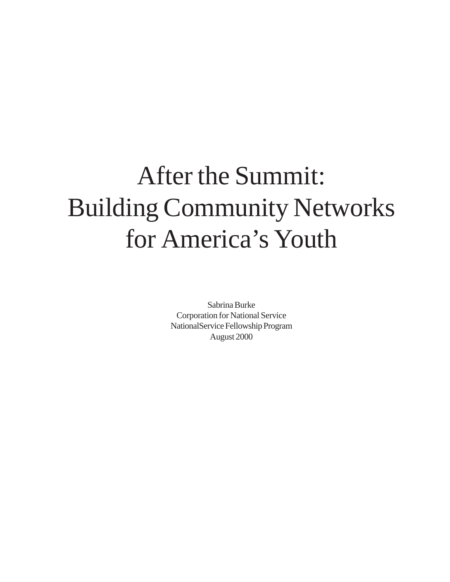# After the Summit: Building Community Networks for America's Youth

Sabrina Burke Corporation for National Service NationalService Fellowship Program August 2000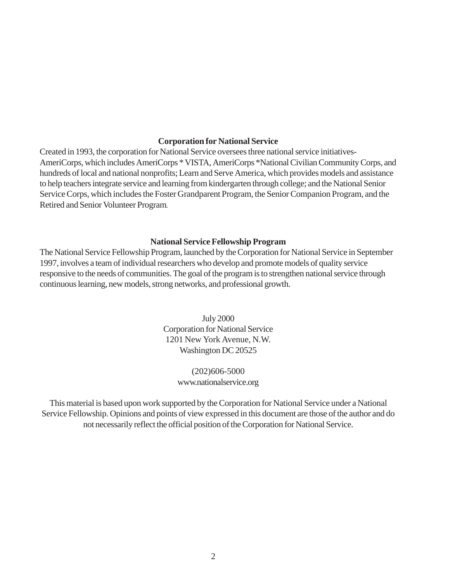#### **Corporation for National Service**

Created in 1993, the corporation for National Service oversees three national service initiatives-AmeriCorps, which includes AmeriCorps \* VISTA, AmeriCorps \*National Civilian Community Corps, and hundreds of local and national nonprofits; Learn and Serve America, which provides models and assistance to help teachers integrate service and learning from kindergarten through college; and the National Senior Service Corps, which includes the Foster Grandparent Program, the Senior Companion Program, and the Retired and Senior Volunteer Program.

#### **National Service Fellowship Program**

The National Service Fellowship Program, launched by the Corporation for National Service in September 1997, involves a team of individual researchers who develop and promote models of quality service responsive to the needs of communities. The goal of the program is to strengthen national service through continuous learning, new models, strong networks, and professional growth.

> July 2000 Corporation for National Service 1201 New York Avenue, N.W. Washington DC 20525

#### (202)606-5000 www.nationalservice.org

This material is based upon work supported by the Corporation for National Service under a National Service Fellowship. Opinions and points of view expressed in this document are those of the author and do not necessarily reflect the official position of the Corporation for National Service.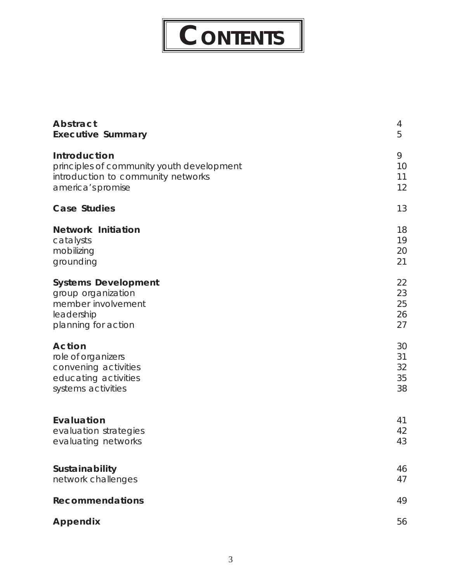# **CONTENTS**

I

| Abstract                                  | 4  |
|-------------------------------------------|----|
| <b>Executive Summary</b>                  | 5  |
| Introduction                              | 9  |
| principles of community youth development | 10 |
| introduction to community networks        | 11 |
| america's promise                         | 12 |
| <b>Case Studies</b>                       | 13 |
| <b>Network Initiation</b>                 | 18 |
| catalysts                                 | 19 |
| mobilizing                                | 20 |
| grounding                                 | 21 |
| <b>Systems Development</b>                | 22 |
| group organization                        | 23 |
| member involvement                        | 25 |
| leadership                                | 26 |
| planning for action                       | 27 |
| <b>Action</b>                             | 30 |
| role of organizers                        | 31 |
| convening activities                      | 32 |
| educating activities                      | 35 |
| systems activities                        | 38 |
| Evaluation                                | 41 |
| evaluation strategies                     | 42 |
| evaluating networks                       | 43 |
| Sustainability                            | 46 |
| network challenges                        | 47 |
| <b>Recommendations</b>                    | 49 |
| Appendix                                  | 56 |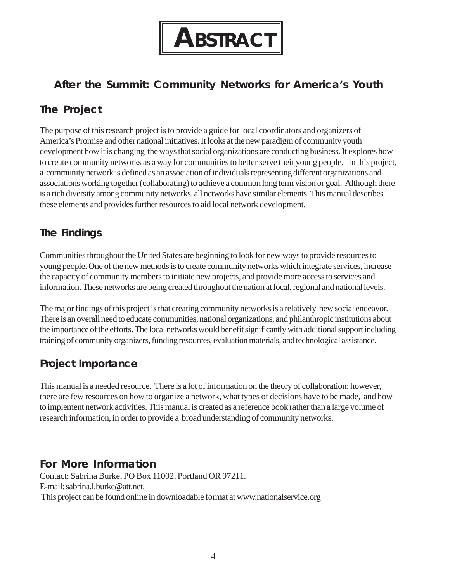

## <span id="page-4-0"></span>**After the Summit: Community Networks for America's Youth**

## **The Project**

 to create community networks as a way for communities to better serve their young people. In this project, The purpose of this research project is to provide a guide for local coordinators and organizers of America's Promise and other national initiatives. It looks at the new paradigm of community youth development how it is changing the ways that social organizations are conducting business. It explores how a community network is defined as an association of individuals representing different organizations and associations working together (collaborating) to achieve a common long term vision or goal. Although there is a rich diversity among community networks, all networks have similar elements. This manual describes these elements and provides further resources to aid local network development.

## **The Findings**

Communities throughout the United States are beginning to look for new ways to provide resources to young people. One of the new methods is to create community networks which integrate services, increase the capacity of community members to initiate new projects, and provide more access to services and information. These networks are being created throughout the nation at local, regional and national levels.

The major findings of this project is that creating community networks is a relatively new social endeavor. There is an overall need to educate communities, national organizations, and philanthropic institutions about the importance of the efforts. The local networks would benefit significantly with additional support including training of community organizers, funding resources, evaluation materials, and technological assistance.

## **Project Importance**

This manual is a needed resource. There is a lot of information on the theory of collaboration; however, there are few resources on how to organize a network, what types of decisions have to be made, and how to implement network activities. This manual is created as a reference book rather than a large volume of research information, in order to provide a broad understanding of community networks.

## **For More Information**

Contact: Sabrina Burke, PO Box 11002, Portland OR 97211. E-mail: sabrina.l.burke@att.net. This project can be found online in downloadable format at www.nationalservice.org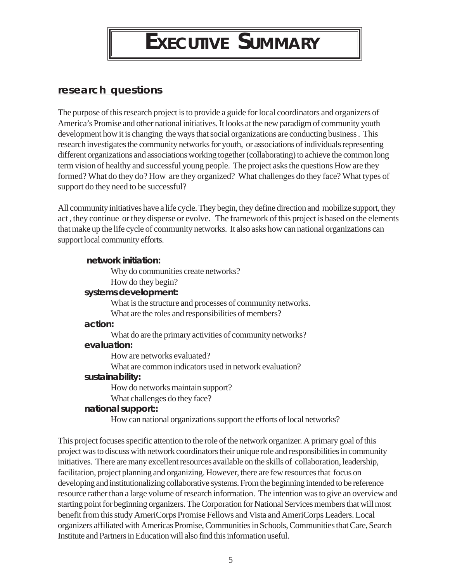# **EXECUTIVE SUMMARY**

## <span id="page-5-0"></span>**research questions**

The purpose of this research project is to provide a guide for local coordinators and organizers of America's Promise and other national initiatives. It looks at the new paradigm of community youth development how it is changing the ways that social organizations are conducting business . This research investigates the community networks for youth, or associations of individuals representing different organizations and associations working together (collaborating) to achieve the common long term vision of healthy and successful young people. The project asks the questions How are they formed? What do they do? How are they organized? What challenges do they face? What types of support do they need to be successful?

All community initiatives have a life cycle. They begin, they define direction and mobilize support, they act , they continue or they disperse or evolve. The framework of this project is based on the elements that make up the life cycle of community networks. It also asks how can national organizations can support local community efforts.

#### **network initiation:**

Why do communities create networks?

How do they begin?

#### **systems development:**

What is the structure and processes of community networks. What are the roles and responsibilities of members?

#### **action:**

What do are the primary activities of community networks? **evaluation:** 

How are networks evaluated?

What are common indicators used in network evaluation?

#### **sustainability:**

How do networks maintain support?

What challenges do they face?

#### **national support::**

How can national organizations support the efforts of local networks?

This project focuses specific attention to the role of the network organizer. A primary goal of this project was to discuss with network coordinators their unique role and responsibilities in community initiatives. There are many excellent resources available on the skills of collaboration, leadership, facilitation, project planning and organizing. However, there are few resources that focus on developing and institutionalizing collaborative systems. From the beginning intended to be reference resource rather than a large volume of research information. The intention was to give an overview and starting point for beginning organizers. The Corporation for National Services members that will most benefit from this study AmeriCorps Promise Fellows and Vista and AmeriCorps Leaders. Local organizers affiliated with Americas Promise, Communities in Schools, Communities that Care, Search Institute and Partners in Education will also find this information useful.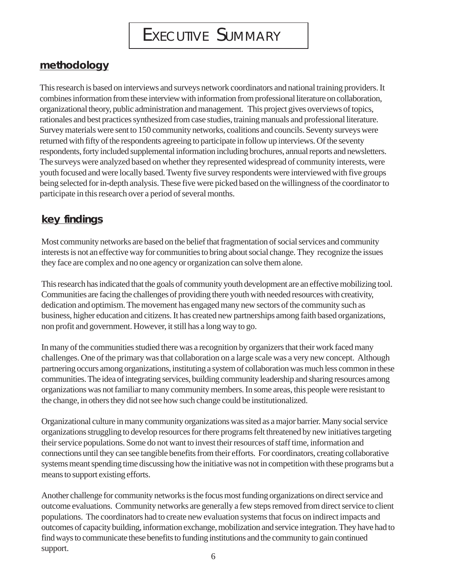## **methodology**

This research is based on interviews and surveys network coordinators and national training providers. It combines information from these interview with information from professional literature on collaboration, organizational theory, public administration and management. This project gives overviews of topics, rationales and best practices synthesized from case studies, training manuals and professional literature. Survey materials were sent to 150 community networks, coalitions and councils. Seventy surveys were returned with fifty of the respondents agreeing to participate in follow up interviews. Of the seventy respondents, forty included supplemental information including brochures, annual reports and newsletters. The surveys were analyzed based on whether they represented widespread of community interests, were youth focused and were locally based. Twenty five survey respondents were interviewed with five groups being selected for in-depth analysis. These five were picked based on the willingness of the coordinator to participate in this research over a period of several months.

## **key findings**

Most community networks are based on the belief that fragmentation of social services and community interests is not an effective way for communities to bring about social change. They recognize the issues they face are complex and no one agency or organization can solve them alone.

This research has indicated that the goals of community youth development are an effective mobilizing tool. Communities are facing the challenges of providing there youth with needed resources with creativity, dedication and optimism. The movement has engaged many new sectors of the community such as business, higher education and citizens. It has created new partnerships among faith based organizations, non profit and government. However, it still has a long way to go.

In many of the communities studied there was a recognition by organizers that their work faced many challenges. One of the primary was that collaboration on a large scale was a very new concept. Although partnering occurs among organizations, instituting a system of collaboration was much less common in these communities. The idea of integrating services, building community leadership and sharing resources among organizations was not familiar to many community members. In some areas, this people were resistant to the change, in others they did not see how such change could be institutionalized.

Organizational culture in many community organizations was sited as a major barrier. Many social service organizations struggling to develop resources for there programs felt threatened by new initiatives targeting their service populations. Some do not want to invest their resources of staff time, information and connections until they can see tangible benefits from their efforts. For coordinators, creating collaborative systems meant spending time discussing how the initiative was not in competition with these programs but a means to support existing efforts.

Another challenge for community networks is the focus most funding organizations on direct service and outcome evaluations. Community networks are generally a few steps removed from direct service to client populations. The coordinators had to create new evaluation systems that focus on indirect impacts and outcomes of capacity building, information exchange, mobilization and service integration. They have had to find ways to communicate these benefits to funding institutions and the community to gain continued support.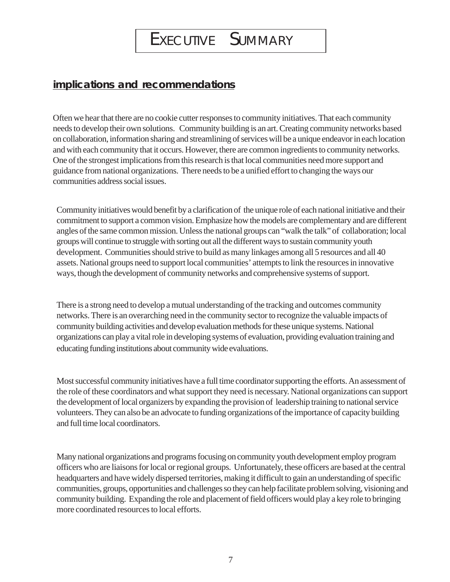## EXECUTIVE SUMMARY

## **implications and recommendations**

Often we hear that there are no cookie cutter responses to community initiatives. That each community needs to develop their own solutions. Community building is an art. Creating community networks based on collaboration, information sharing and streamlining of services will be a unique endeavor in each location and with each community that it occurs. However, there are common ingredients to community networks. One of the strongest implications from this research is that local communities need more support and guidance from national organizations. There needs to be a unified effort to changing the ways our communities address social issues.

Community initiatives would benefit by a clarification of the unique role of each national initiative and their commitment to support a common vision. Emphasize how the models are complementary and are different angles of the same common mission. Unless the national groups can "walk the talk" of collaboration; local groups will continue to struggle with sorting out all the different ways to sustain community youth development. Communities should strive to build as many linkages among all 5 resources and all 40 assets. National groups need to support local communities' attempts to link the resources in innovative ways, though the development of community networks and comprehensive systems of support.

There is a strong need to develop a mutual understanding of the tracking and outcomes community networks. There is an overarching need in the community sector to recognize the valuable impacts of community building activities and develop evaluation methods for these unique systems. National organizations can play a vital role in developing systems of evaluation, providing evaluation training and educating funding institutions about community wide evaluations.

Most successful community initiatives have a full time coordinator supporting the efforts. An assessment of the role of these coordinators and what support they need is necessary. National organizations can support the development of local organizers by expanding the provision of leadership training to national service volunteers. They can also be an advocate to funding organizations of the importance of capacity building and full time local coordinators.

Many national organizations and programs focusing on community youth development employ program officers who are liaisons for local or regional groups. Unfortunately, these officers are based at the central headquarters and have widely dispersed territories, making it difficult to gain an understanding of specific communities, groups, opportunities and challenges so they can help facilitate problem solving, visioning and community building. Expanding the role and placement of field officers would play a key role to bringing more coordinated resources to local efforts.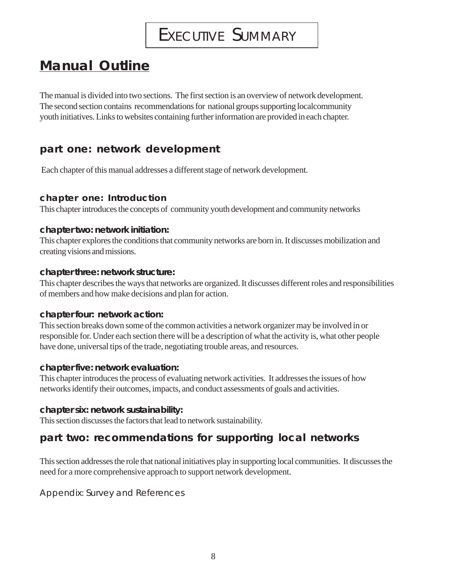## EXECUTIVE SUMMARY

## **Manual Outline**

The manual is divided into two sections. The first section is an overview of network development. The second section contains recommendations for national groups supporting localcommunity youth initiatives. Links to websites containing further information are provided in each chapter.

## **part one: network development**

Each chapter of this manual addresses a different stage of network development.

### **chapter one: Introduction**

This chapter introduces the concepts of community youth development and community networks

### **chapter two: network initiation:**

This chapter explores the conditions that community networks are born in. It discusses mobilization and creating visions and missions.

#### **chapter three: network structure:**

This chapter describes the ways that networks are organized. It discusses different roles and responsibilities of members and how make decisions and plan for action.

### **chapter four: network action:**

This section breaks down some of the common activities a network organizer may be involved in or responsible for. Under each section there will be a description of what the activity is, what other people have done, universal tips of the trade, negotiating trouble areas, and resources.

### **chapter five: network evaluation:**

This chapter introduces the process of evaluating network activities. It addresses the issues of how networks identify their outcomes, impacts, and conduct assessments of goals and activities.

### **chapter six: network sustainability:**

This section discusses the factors that lead to network sustainability.

## **part two: recommendations for supporting local networks**

This section addresses the role that national initiatives play in supporting local communities. It discusses the need for a more comprehensive approach to support network development.

Appendix: Survey and References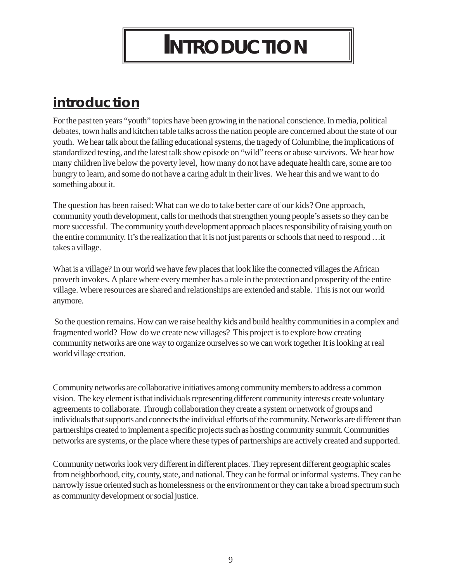# **INTRODUCTION**

## <span id="page-9-0"></span>**introduction**

For the past ten years "youth" topics have been growing in the national conscience. In media, political debates, town halls and kitchen table talks across the nation people are concerned about the state of our youth. We hear talk about the failing educational systems, the tragedy of Columbine, the implications of standardized testing, and the latest talk show episode on "wild" teens or abuse survivors. We hear how many children live below the poverty level, how many do not have adequate health care, some are too hungry to learn, and some do not have a caring adult in their lives. We hear this and we want to do something about it.

The question has been raised: What can we do to take better care of our kids? One approach, community youth development, calls for methods that strengthen young people's assets so they can be more successful. The community youth development approach places responsibility of raising youth on the entire community. It's the realization that it is not just parents or schools that need to respond …it takes a village.

What is a village? In our world we have few places that look like the connected villages the African proverb invokes. A place where every member has a role in the protection and prosperity of the entire village. Where resources are shared and relationships are extended and stable. This is not our world anymore.

 So the question remains. How can we raise healthy kids and build healthy communities in a complex and fragmented world? How do we create new villages? This project is to explore how creating community networks are one way to organize ourselves so we can work together It is looking at real world village creation.

Community networks are collaborative initiatives among community members to address a common vision. The key element is that individuals representing different community interests create voluntary agreements to collaborate. Through collaboration they create a system or network of groups and individuals that supports and connects the individual efforts of the community. Networks are different than partnerships created to implement a specific projects such as hosting community summit. Communities networks are systems, or the place where these types of partnerships are actively created and supported.

Community networks look very different in different places. They represent different geographic scales from neighborhood, city, county, state, and national. They can be formal or informal systems. They can be narrowly issue oriented such as homelessness or the environment or they can take a broad spectrum such as community development or social justice.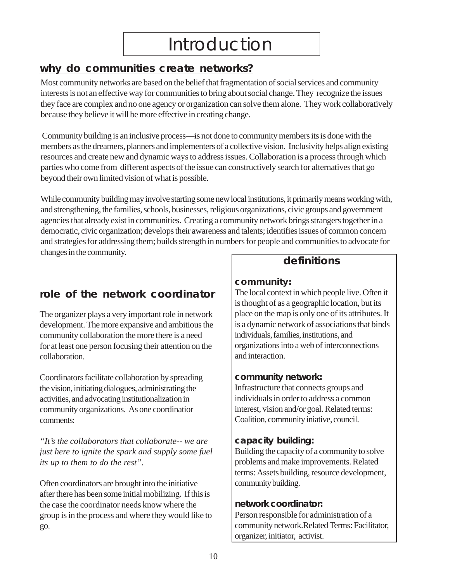# Introduction

## **why do communities create networks?**

Most community networks are based on the belief that fragmentation of social services and community interests is not an effective way for communities to bring about social change. They recognize the issues they face are complex and no one agency or organization can solve them alone. They work collaboratively because they believe it will be more effective in creating change.

 Community building is an inclusive process—is not done to community members its is done with the members as the dreamers, planners and implementers of a collective vision. Inclusivity helps align existing resources and create new and dynamic ways to address issues. Collaboration is a process through which parties who come from different aspects of the issue can constructively search for alternatives that go beyond their own limited vision of what is possible.

While community building may involve starting some new local institutions, it primarily means working with, and strengthening, the families, schools, businesses, religious organizations, civic groups and government agencies that already exist in communities. Creating a community network brings strangers together in a democratic, civic organization; develops their awareness and talents; identifies issues of common concern and strategies for addressing them; builds strength in numbers for people and communities to advocate for changes in the community.

## **role of the network coordinator** The local context in which people live. Often it

The organizer plays a very important role in network place on the map is only one of its attributes. It development. The more expansive and ambitious the is a dynamic network of associations that binds community collaboration the more there is a need individuals, families, institutions, and for at least one person focusing their attention on the organizations into a web of interconnections collaboration.  $\Box$  and interaction.

Coordinators facilitate collaboration by spreading **community network:** the vision, initiating dialogues, administrating the Infrastructure that connects groups and activities, and advocating institutionalization in individuals in order to address a common community organizations. As one coordination interest, vision and/or goal. Related terms: comments: Coalition, community iniative, council.

*The collaborators that collaborate-- we are* **capacity building:**<br> **capacity building** the capacity of a community to solve *just here to ignite the spark and supply some fuel its up to them to do the rest"*.  $|$  problems and make improvements. Related

Often coordinators are brought into the initiative community building. after there has been some initial mobilizing. If this is the case the coordinator needs know where the **network coordinator:**  group is in the process and where they would like to  $\Box$  Person responsible for administration of a go. community network.Related Terms: Facilitator,

## **definitions**

## **community:**

is thought of as a geographic location, but its

terms: Assets building, resource development,

organizer, initiator, activist.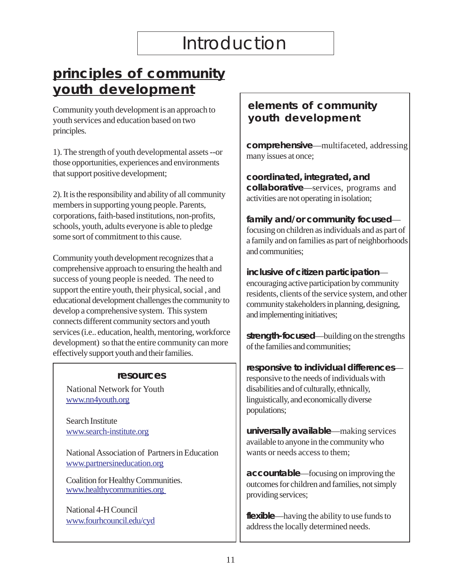# Introduction

## <span id="page-11-0"></span>**principles of community youth development**

Community youth development is an approach to youth services and education based on two principles.

1). The strength of youth developmental assets --or those opportunities, experiences and environments that support positive development;

2). It is the responsibility and ability of all community members in supporting young people. Parents, corporations, faith-based institutions, non-profits, schools, youth, adults everyone is able to pledge some sort of commitment to this cause.

Community youth development recognizes that a comprehensive approach to ensuring the health and success of young people is needed. The need to support the entire youth, their physical, social , and educational development challenges the community to develop a comprehensive system. This system connects different community sectors and youth services (i.e.. education, health, mentoring, workforce development) so that the entire community can more effectively support youth and their families.

#### **resources**

 National Network for Youth www.nn4youth.org

Search Institute www.search-institute.org

National Association of Partners in Education www.partnersineducation.org

Coalition for Healthy Communities. www.healthycommunities.org

National 4-H Council www.fourhcouncil.edu/cyd

## **elements of community youth development**

**comprehensive**—multifaceted, addressing many issues at once;

**coordinated, integrated, and collaborative**—services, programs and activities are not operating in isolation;

**family and/or community focused** focusing on children as individuals and as part of a family and on families as part of neighborhoods and communities;

**inclusive of citizen participation** encouraging active participation by community residents, clients of the service system, and other community stakeholders in planning, designing, and implementing initiatives;

**strength-focused**—building on the strengths of the families and communities;

**responsive to individual differences** responsive to the needs of individuals with disabilities and of culturally, ethnically, linguistically, and economically diverse populations;

**universally available**—making services available to anyone in the community who wants or needs access to them;

**accountable**—focusing on improving the outcomes for children and families, not simply providing services;

**flexible**—having the ability to use funds to address the locally determined needs.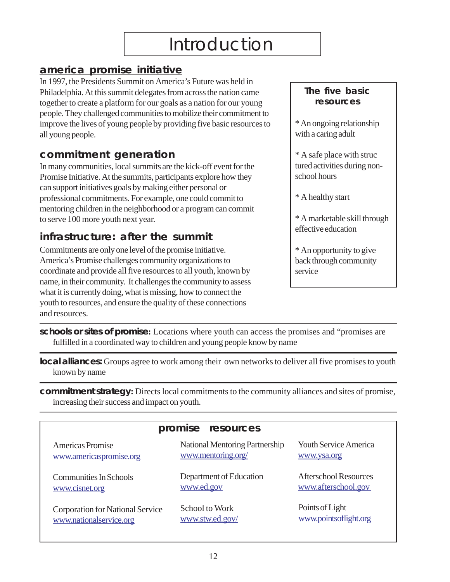## **america promise initiative**

In 1997, the Presidents Summit on America's Future was held in Philadelphia. At this summit delegates from across the nation came together to create a platform for our goals as a nation for our young people. They challenged communities to mobilize their commitment to improve the lives of young people by providing five basic resources to all young people.

## **commitment generation**

In many communities, local summits are the kick-off event for the Promise Initiative. At the summits, participants explore how they can support initiatives goals by making either personal or professional commitments. For example, one could commit to mentoring children in the neighborhood or a program can commit to serve 100 more youth next year.

## **infrastructure: after the summit**

Commitments are only one level of the promise initiative. America's Promise challenges community organizations to coordinate and provide all five resources to all youth, known by name, in their community. It challenges the community to assess what it is currently doing, what is missing, how to connect the youth to resources, and ensure the quality of these connections and resources.

## **The five basic resources**

\* An ongoing relationship with a caring adult

\* A safe place with struc tured activities during nonschool hours

\* A healthy start

\* A marketable skill through effective education

\* An opportunity to give back through community service

**schools or sites of promise:** Locations where youth can access the promises and "promises are fulfilled in a coordinated way to children and young people know by name

**local alliances:** Groups agree to work among their own networks to deliver all five promises to youth known by name

**commitment strategy:** Directs local commitments to the community alliances and sites of promise, increasing their success and impact on youth.

| promise resources                |                                |                              |  |
|----------------------------------|--------------------------------|------------------------------|--|
| Americas Promise                 | National Mentoring Partnership | <b>Youth Service America</b> |  |
| www.americaspromise.org          | www.mentoring.org/             | www.ysa.org                  |  |
| Communities In Schools           | Department of Education        | <b>Afterschool Resources</b> |  |
| www.cisnet.org                   | www.ed.gov                     | www.afterschool.gov          |  |
| Corporation for National Service | School to Work                 | Points of Light              |  |
| www.nationalservice.org          | www.stw.ed.gov/                | www.pointsoflight.org        |  |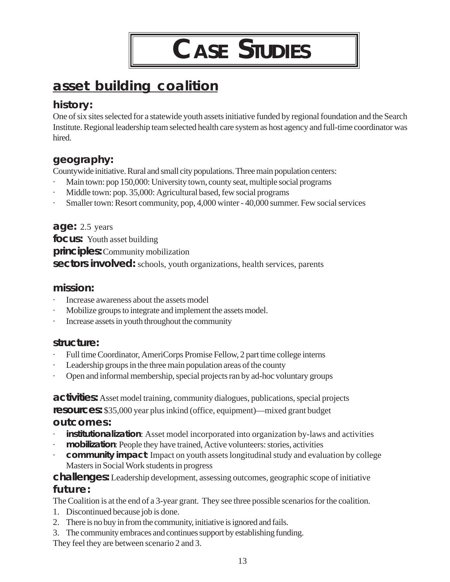**CASE STUDIES** 

## <span id="page-13-0"></span>**asset building coalition**

## **history:**

One of six sites selected for a statewide youth assets initiative funded by regional foundation and the Search Institute. Regional leadership team selected health care system as host agency and full-time coordinator was hired.

## **geography:**

Countywide initiative. Rural and small city populations. Three main population centers:

- Main town: pop 150,000: University town, county seat, multiple social programs
- Middle town: pop. 35,000: Agricultural based, few social programs
- · Smaller town: Resort community, pop, 4,000 winter 40,000 summer. Few social services

## **age:** 2.5 years

**focus:** Youth asset building **principles:** Community mobilization **sectors involved:** schools, youth organizations, health services, parents

## **mission:**

- Increase awareness about the assets model
- Mobilize groups to integrate and implement the assets model.
- Increase assets in youth throughout the community

## **structure:**

- Full time Coordinator, AmeriCorps Promise Fellow, 2 part time college interns
- Leadership groups in the three main population areas of the county
- · Open and informal membership, special projects ran by ad-hoc voluntary groups

**activities:** Asset model training, community dialogues, publications, special projects **resources:** \$35,000 year plus inkind (office, equipment)—mixed grant budget **outcomes:** 

- institutionalization: Asset model incorporated into organization by-laws and activities
- · **mobilization**: People they have trained, Active volunteers: stories, activities
- **community impact**: Impact on youth assets longitudinal study and evaluation by college Masters in Social Work students in progress

## **challenges:** Leadership development, assessing outcomes, geographic scope of initiative **future:**

The Coalition is at the end of a 3-year grant. They see three possible scenarios for the coalition.

- 1. Discontinued because job is done.
- 2. There is no buy in from the community, initiative is ignored and fails.
- 3. The community embraces and continues support by establishing funding.

They feel they are between scenario 2 and 3.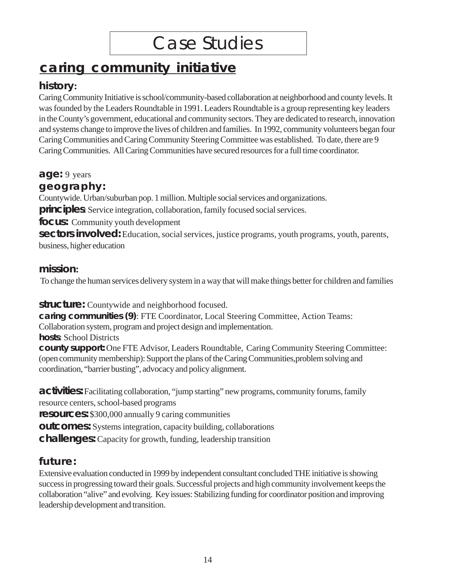# Case Studies

## **caring community initiative**

## **history:**

Caring Community Initiative is school/community-based collaboration at neighborhood and county levels. It was founded by the Leaders Roundtable in 1991. Leaders Roundtable is a group representing key leaders in the County's government, educational and community sectors. They are dedicated to research, innovation and systems change to improve the lives of children and families. In 1992, community volunteers began four Caring Communities and Caring Community Steering Committee was established. To date, there are 9 Caring Communities. All Caring Communities have secured resources for a full time coordinator.

**age:** 9 years

## **geography:**

Countywide. Urban/suburban pop. 1 million. Multiple social services and organizations. **principles**: Service integration, collaboration, family focused social services.

**focus:** Community youth development

**sectors involved:** Education, social services, justice programs, youth programs, youth, parents, business, higher education

## **mission:**

To change the human services delivery system in a way that will make things better for children and families

**structure:** Countywide and neighborhood focused.

**caring communities (9)**: FTE Coordinator, Local Steering Committee, Action Teams: Collaboration system, program and project design and implementation. **hosts**: School Districts

**county support:** One FTE Advisor, Leaders Roundtable, Caring Community Steering Committee: (open community membership): Support the plans of the Caring Communities,problem solving and coordination, "barrier busting", advocacy and policy alignment.

**activities:** Facilitating collaboration, "jump starting" new programs, community forums, family resource centers, school-based programs

**resources:** \$300,000 annually 9 caring communities

**outcomes:** Systems integration, capacity building, collaborations

**challenges:** Capacity for growth, funding, leadership transition

## **future:**

Extensive evaluation conducted in 1999 by independent consultant concluded THE initiative is showing success in progressing toward their goals. Successful projects and high community involvement keeps the collaboration "alive" and evolving. Key issues: Stabilizing funding for coordinator position and improving leadership development and transition.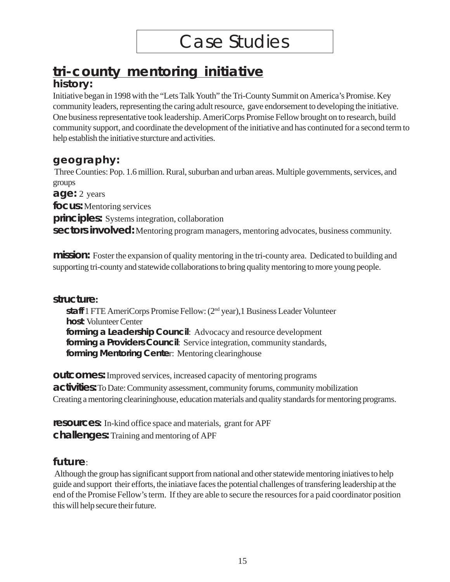## **tri-county mentoring initiative**

## **history:**

Initiative began in 1998 with the "Lets Talk Youth" the Tri-County Summit on America's Promise. Key community leaders, representing the caring adult resource, gave endorsement to developing the initiative. One business representative took leadership. AmeriCorps Promise Fellow brought on to research, build community support, and coordinate the development of the initiative and has continuted for a second term to help establish the initiative sturcture and activities.

## **geography:**

 Three Counties: Pop. 1.6 million. Rural, suburban and urban areas. Multiple governments, services, and groups

**age:** 2 years

**focus:** Mentoring services

**principles:** Systems integration, collaboration

**sectors involved:** Mentoring program managers, mentoring advocates, business community.

**mission:** Foster the expansion of quality mentoring in the tri-county area. Dedicated to building and supporting tri-county and statewide collaborations to bring quality mentoring to more young people.

## **structure:**

**staff** 1 FTE AmeriCorps Promise Fellow: (2nd year),1 Business Leader Volunteer **host**: Volunteer Center **forming a Leadership Council**: Advocacy and resource development **forming a Providers Council**: Service integration, community standards, **forming Mentoring Cente**r: Mentoring clearinghouse

**outcomes:** Improved services, increased capacity of mentoring programs **activities:** To Date: Community assessment, community forums, community mobilization Creating a mentoring clearininghouse, education materials and quality standards for mentoring programs.

**resources:** In-kind office space and materials, grant for APF **challenges:** Training and mentoring of APF

## **future**:

 Although the group has significant support from national and other statewide mentoring iniatives to help guide and support their efforts, the iniatiave faces the potential challenges of transfering leadership at the end of the Promise Fellow's term. If they are able to secure the resources for a paid coordinator position this will help secure their future.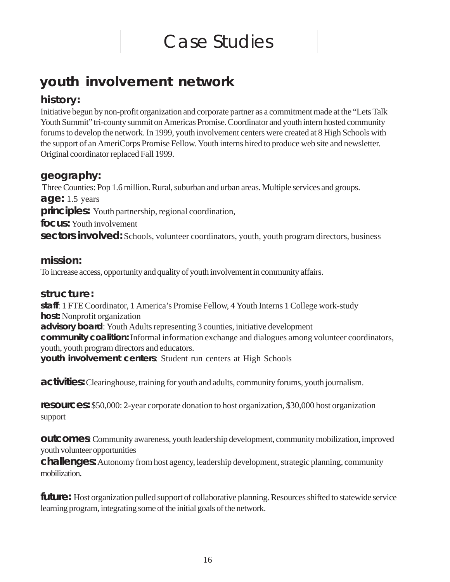## **youth involvement network**

## **history:**

Initiative begun by non-profit organization and corporate partner as a commitment made at the "Lets Talk Youth Summit" tri-county summit on Americas Promise. Coordinator and youth intern hosted community forums to develop the network. In 1999, youth involvement centers were created at 8 High Schools with the support of an AmeriCorps Promise Fellow. Youth interns hired to produce web site and newsletter. Original coordinator replaced Fall 1999.

## **geography:**

 Three Counties: Pop 1.6 million. Rural, suburban and urban areas. Multiple services and groups. **age:** 1.5 years **principles:** Youth partnership, regional coordination, **focus:** Youth involvement **sectors involved:** Schools, volunteer coordinators, youth, youth program directors, business

## **mission:**

To increase access, opportunity and quality of youth involvement in community affairs.

## **structure:**

**staff**: 1 FTE Coordinator, 1 America's Promise Fellow, 4 Youth Interns 1 College work-study **host:** Nonprofit organization **advisory board**: Youth Adults representing 3 counties, initiative development **community coalition:** Informal information exchange and dialogues among volunteer coordinators, youth, youth program directors and educators. **youth involvement centers**: Student run centers at High Schools

**activities:** Clearinghouse, training for youth and adults, community forums, youth journalism.

**resources:** \$50,000: 2-year corporate donation to host organization, \$30,000 host organization support

**outcomes**: Community awareness, youth leadership development, community mobilization, improved youth volunteer opportunities

**challenges:** Autonomy from host agency, leadership development, strategic planning, community mobilization.

**future:** Host organization pulled support of collaborative planning. Resources shifted to statewide service learning program, integrating some of the initial goals of the network.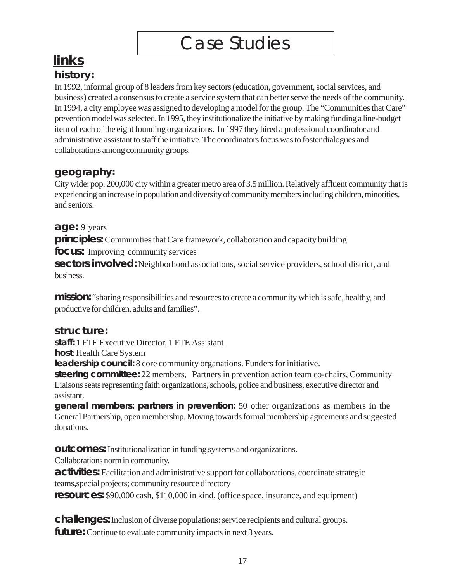# Case Studies

## **links history:**

In 1992, informal group of 8 leaders from key sectors (education, government, social services, and business) created a consensus to create a service system that can better serve the needs of the community. In 1994, a city employee was assigned to developing a model for the group. The "Communities that Care" prevention model was selected. In 1995, they institutionalize the initiative by making funding a line-budget item of each of the eight founding organizations. In 1997 they hired a professional coordinator and administrative assistant to staff the initiative. The coordinators focus was to foster dialogues and collaborations among community groups.

## **geography:**

City wide: pop. 200,000 city within a greater metro area of 3.5 million. Relatively affluent community that is experiencing an increase in population and diversity of community members including children, minorities, and seniors.

## **age:** 9 years

**principles:** Communities that Care framework, collaboration and capacity building

**focus:** Improving community services

**sectors involved:** Neighborhood associations, social service providers, school district, and business.

**mission:** "sharing responsibilities and resources to create a community which is safe, healthy, and productive for children, adults and families".

## **structure:**

**staff:** 1 FTE Executive Director, 1 FTE Assistant

**host**: Health Care System

**leadership council:** 8 core community organations. Funders for initiative.

**steering committee:** 22 members, Partners in prevention action team co-chairs, Community Liaisons seats representing faith organizations, schools, police and business, executive director and assistant.

**general members: partners in prevention:** 50 other organizations as members in the General Partnership, open membership. Moving towards formal membership agreements and suggested donations.

**outcomes:** Institutionalization in funding systems and organizations.

Collaborations norm in community.

**activities:** Facilitation and administrative support for collaborations, coordinate strategic teams,special projects; community resource directory

**resources:** \$90,000 cash, \$110,000 in kind, (office space, insurance, and equipment)

**challenges:** Inclusion of diverse populations: service recipients and cultural groups. **future:** Continue to evaluate community impacts in next 3 years.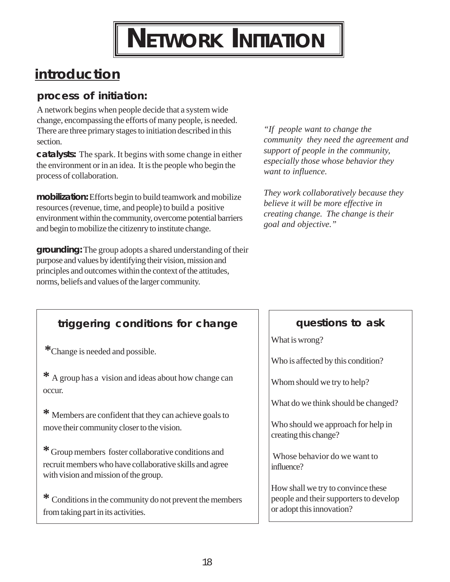# **NETWORK INITIATION**

## <span id="page-18-0"></span>**introduction**

## **process of initiation:**

A network begins when people decide that a system wide change, encompassing the efforts of many people, is needed. There are three primary stages to initiation described in this section.

**catalysts:** The spark. It begins with some change in either the environment or in an idea. It is the people who begin the process of collaboration.

**mobilization:** Efforts begin to build teamwork and mobilize resources (revenue, time, and people) to build a positive environment within the community, overcome potential barriers and begin to mobilize the citizenry to institute change.

**grounding:** The group adopts a shared understanding of their purpose and values by identifying their vision, mission and principles and outcomes within the context of the attitudes, norms, beliefs and values of the larger community.

*"If people want to change the community they need the agreement and support of people in the community, especially those whose behavior they want to influence.* 

*They work collaboratively because they believe it will be more effective in creating change. The change is their goal and objective."* 

## **triggering conditions for change**

**\***Change is needed and possible.

**\*** A group has a vision and ideas about how change can occur.

**\*** Members are confident that they can achieve goals to move their community closer to the vision.

**\***Group members foster collaborative conditions and recruit members who have collaborative skills and agree with vision and mission of the group.

**\*** Conditions in the community do not prevent the members from taking part in its activities.

## **questions to ask**

What is wrong?

Who is affected by this condition?

Whom should we try to help?

What do we think should be changed?

Who should we approach for help in creating this change?

 Whose behavior do we want to influence?

How shall we try to convince these people and their supporters to develop or adopt this innovation?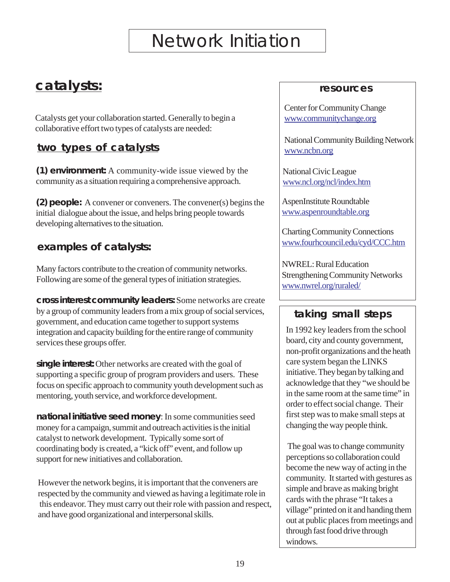# Network Initiation

## <span id="page-19-0"></span>**catalysts:**

Catalysts get your collaboration started. Generally to begin a collaborative effort two types of catalysts are needed:

## **two types of catalysts**

**(1) environment:** A community-wide issue viewed by the community as a situation requiring a comprehensive approach.

**(2) people:** A convener or conveners. The convener(s) begins the initial dialogue about the issue, and helps bring people towards developing alternatives to the situation.

## **examples of catalysts:**

Many factors contribute to the creation of community networks. Following are some of the general types of initiation strategies.

**cross interest community leaders:** Some networks are create by a group of community leaders from a mix group of social services, government, and education came together to support systems integration and capacity building for the entire range of community services these groups offer.

**single interest:** Other networks are created with the goal of supporting a specific group of program providers and users. These focus on specific approach to community youth development such as mentoring, youth service, and workforce development.

**national initiative seed money**: In some communities seed money for a campaign, summit and outreach activities is the initial catalyst to network development. Typically some sort of coordinating body is created, a "kick off" event, and follow up support for new initiatives and collaboration.

However the network begins, it is important that the conveners are respected by the community and viewed as having a legitimate role in this endeavor. They must carry out their role with passion and respect, and have good organizational and interpersonal skills.

## **resources**

Center for Community Change [www.communitychange.org](http://www.communitychange.org/) 

National Community Building Network [www.ncbn.org](http://www.ncbn.org) 

National Civic League [www.ncl.org/ncl/index.htm](http://www.ncl.org/ncl/index.htm) 

AspenInstitute Roundtable [www.aspenroundtable.org](http://www.aspenroundtable.org) 

Charting Community Connections [www.fourhcouncil.edu/cyd/CCC.htm](http://www.fourhcouncil.edu/cyd/CCC.htm) 

NWREL: Rural Education Strengthening Community Networks [www.nwrel.org/ruraled/](http://www.nwrel.org/ruraled/) 

## **taking small steps**

In 1992 key leaders from the school board, city and county government, non-profit organizations and the heath care system began the LINKS initiative. They began by talking and acknowledge that they "we should be in the same room at the same time" in order to effect social change. Their first step was to make small steps at changing the way people think.

 The goal was to change community perceptions so collaboration could become the new way of acting in the community. It started with gestures as simple and brave as making bright cards with the phrase "It takes a village" printed on it and handing them out at public places from meetings and through fast food drive through windows.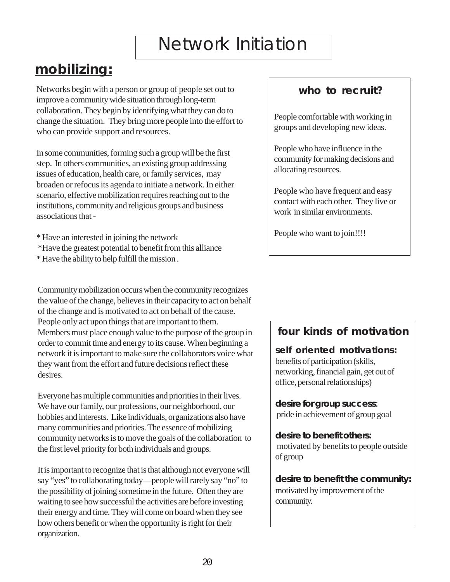# Network Initiation

## <span id="page-20-0"></span>**mobilizing:**

Networks begin with a person or group of people set out to improve a community wide situation through long-term collaboration. They begin by identifying what they can do to change the situation. They bring more people into the effort to who can provide support and resources.

In some communities, forming such a group will be the first step. In others communities, an existing group addressing issues of education, health care, or family services, may broaden or refocus its agenda to initiate a network. In either scenario, effective mobilization requires reaching out to the institutions, community and religious groups and business associations that

- \* Have an interested in joining the network
- \*Have the greatest potential to benefit from this alliance
- \* Have the ability to help fulfill the mission .

Community mobilization occurs when the community recognizes the value of the change, believes in their capacity to act on behalf of the change and is motivated to act on behalf of the cause. People only act upon things that are important to them. Members must place enough value to the purpose of the group in order to commit time and energy to its cause. When beginning a network it is important to make sure the collaborators voice what they want from the effort and future decisions reflect these desires.

Everyone has multiple communities and priorities in their lives. We have our family, our professions, our neighborhood, our hobbies and interests. Like individuals, organizations also have many communities and priorities. The essence of mobilizing community networks is to move the goals of the collaboration to the first level priority for both individuals and groups.

It is important to recognize that is that although not everyone will say "yes" to collaborating today—people will rarely say "no" to the possibility of joining sometime in the future. Often they are waiting to see how successful the activities are before investing their energy and time. They will come on board when they see how others benefit or when the opportunity is right for their organization.

## **who to recruit?**

People comfortable with working in groups and developing new ideas.

People who have influence in the community for making decisions and allocating resources.

People who have frequent and easy contact with each other. They live or work in similar environments.

People who want to join!!!!

## **four kinds of motivation**

**self oriented motivations:**  benefits of participation (skills, networking, financial gain, get out of office, personal relationships)

**desire for group success**: pride in achievement of group goal

**desire to benefit others:**  motivated by benefits to people outside of group

**desire to benefit the community:**  motivated by improvement of the community.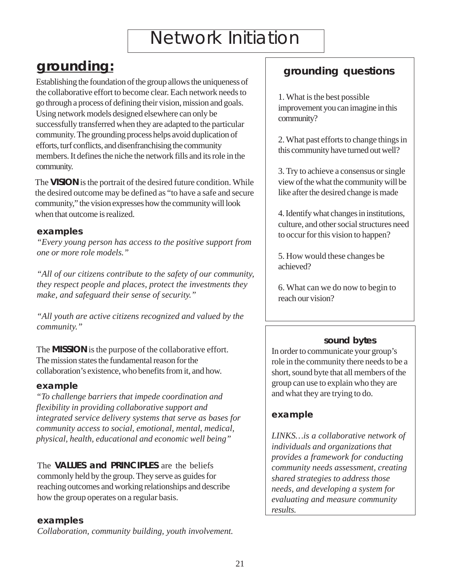# Network Initiation

## <span id="page-21-0"></span>**grounding:**

Establishing the foundation of the group allows the uniqueness of the collaborative effort to become clear. Each network needs to go through a process of defining their vision, mission and goals. Using network models designed elsewhere can only be successfully transferred when they are adapted to the particular community. The grounding process helps avoid duplication of efforts, turf conflicts, and disenfranchising the community members. It defines the niche the network fills and its role in the community.

The **VISION** is the portrait of the desired future condition. While the desired outcome may be defined as "to have a safe and secure community," the vision expresses how the community will look when that outcome is realized.

#### **examples**

*"Every young person has access to the positive support from one or more role models."* 

*"All of our citizens contribute to the safety of our community, they respect people and places, protect the investments they make, and safeguard their sense of security."* 

*"All youth are active citizens recognized and valued by the community."* 

The **MISSION** is the purpose of the collaborative effort. The mission states the fundamental reason for the collaboration's existence, who benefits from it, and how.

#### *example*

*"To challenge barriers that impede coordination and flexibility in providing collaborative support and integrated service delivery systems that serve as bases for community access to social, emotional, mental, medical, physical, health, educational and economic well being"* 

The **VALUES and PRINCIPLES** are the beliefs commonly held by the group. They serve as guides for reaching outcomes and working relationships and describe how the group operates on a regular basis.

### *examples*

*Collaboration, community building, youth involvement.* 

## **grounding questions**

1. What is the best possible improvement you can imagine in this community?

2. What past efforts to change things in this community have turned out well?

3. Try to achieve a consensus or single view of the what the community will be like after the desired change is made

4. Identify what changes in institutions, culture, and other social structures need to occur for this vision to happen?

5. How would these changes be achieved?

6. What can we do now to begin to reach our vision?

### **sound bytes**

In order to communicate your group's role in the community there needs to be a short, sound byte that all members of the group can use to explain who they are and what they are trying to do.

### *example*

*LINKS…is a collaborative network of individuals and organizations that provides a framework for conducting community needs assessment, creating shared strategies to address those needs, and developing a system for evaluating and measure community results.*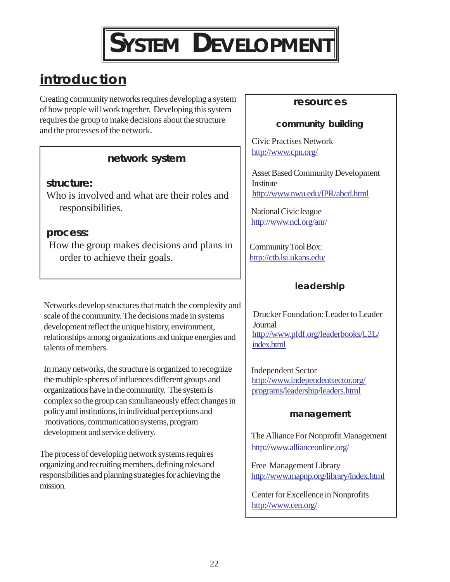

## **introduction**

Creating community networks requires developing a system of how people will work together. Developing this system requires the group to make decisions about the structure and the processes of the network.

## **network system**

### **structure:**

Who is involved and what are their roles and responsibilities.

### **process:**

 How the group makes decisions and plans in order to achieve their goals.

Networks develop structures that match the complexity and scale of the community. The decisions made in systems development reflect the unique history, environment, relationships among organizations and unique energies and talents of members.

In many networks, the structure is organized to recognize the multiple spheres of influences different groups and organizations have in the community. The system is complex so the group can simultaneously effect changes in policy and institutions, in individual perceptions and motivations, communication systems, program development and service delivery.

The process of developing network systems requires organizing and recruiting members, defining roles and responsibilities and planning strategies for achieving the mission.

#### **resources**

## **community building**

Civic Practises Network <http://www.cpn.org/>

Asset Based Community Development **Institute** <http://www.nwu.edu/IPR/abcd.html>

National Civic league <http://www.ncl.org/anr/>

Community Tool Box: <http://ctb.lsi.ukans.edu/>

## **leadership**

[http://www.pfdf.org/leaderbooks/L2L/](http://www.pfdf.org/leaderbooks/L2L/index.html)  [index.html](http://www.pfdf.org/leaderbooks/L2L/index.html)  Drucker Foundation: Leader to Leader **Journal** 

[http://www.independentsector.org/](http://www.independentsector.org/programs/leadership/leaders.html)  [programs/leadership/leaders.html](http://www.independentsector.org/programs/leadership/leaders.html)  Independent Sector

### **management**

[http://www.allianceonline.org/](http://www.allianceonline.org/

)  The Alliance For Nonprofit Management

Free Management Library <http://www.mapnp.org/library/index.html>

Center for Excellence in Nonprofits <http://www.cen.org/>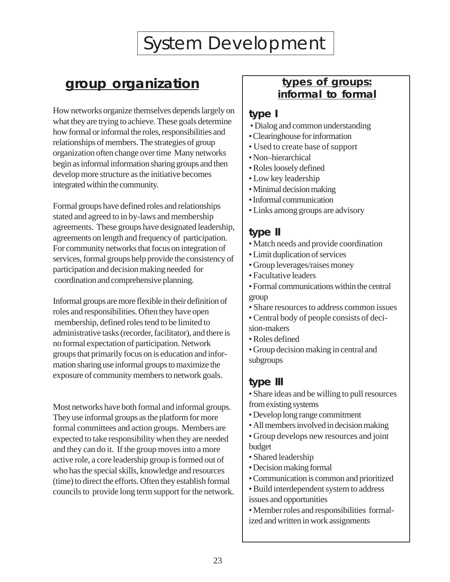## <span id="page-23-0"></span>**group organization**

How networks organize themselves depends largely on what they are trying to achieve. These goals determine how formal or informal the roles, responsibilities and relationships of members. The strategies of group organization often change over time Many networks begin as informal information sharing groups and then develop more structure as the initiative becomes integrated within the community.

Formal groups have defined roles and relationships stated and agreed to in by-laws and membership agreements. These groups have designated leadership, agreements on length and frequency of participation. For community networks that focus on integration of services, formal groups help provide the consistency of participation and decision making needed for coordination and comprehensive planning.

Informal groups are more flexible in their definition of roles and responsibilities. Often they have open membership, defined roles tend to be limited to administrative tasks (recorder, facilitator), and there is no formal expectation of participation. Network groups that primarily focus on is education and information sharing use informal groups to maximize the exposure of community members to network goals.

Most networks have both formal and informal groups. They use informal groups as the platform for more formal committees and action groups. Members are expected to take responsibility when they are needed and they can do it. If the group moves into a more active role, a core leadership group is formed out of who has the special skills, knowledge and resources (time) to direct the efforts. Often they establish formal councils to provide long term support for the network.

## **types of groups: informal to formal**

 $\overline{\phantom{a}}$ 

## **type I**

- Dialog and common understanding
- Clearinghouse for information
- Used to create base of support
- Non–hierarchical
- Roles loosely defined
- Low key leadership
- Minimal decision making
- Informal communication
- Links among groups are advisory

## **type II**

- Match needs and provide coordination
- Limit duplication of services
- Group leverages/raises money
- Facultative leaders
- Formal communications within the central group
- Share resources to address common issues
- Central body of people consists of decision-makers
- Roles defined
- Group decision making in central and subgroups

## **type III**

- Share ideas and be willing to pull resources from existing systems
- Develop long range commitment
- All members involved in decision making
- Group develops new resources and joint budget
- Shared leadership
- Decision making formal
- Communication is common and prioritized
- Build interdependent system to address issues and opportunities
- Member roles and responsibilities formalized and written in work assignments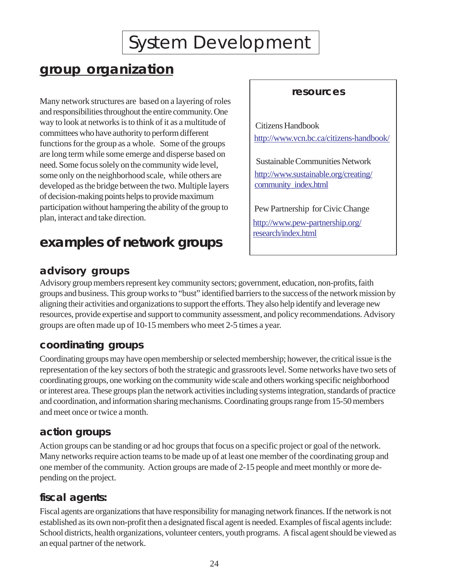## **group organization**

Many network structures are based on a layering of roles and responsibilities throughout the entire community. One way to look at networks is to think of it as a multitude of  $\Big\{\begin{array}{c}\text{Citizens Handbook} \\ \text{Citizens Handbook}\end{array}\Big\}$ tommittees who have authority to perform different <http://www.vcn.bc.ca/citizens-handbook/> functions for the group as a whole. Some of the groups are long term while some emerge and disperse based on need. Some focus solely on the community wide level,<br>Sustainable Communities Network some only on the neighborhood scale, while others are developed as the bridge between the two. Multiple layers developed as the bridge between the two. Multiple layers of decision-making points helps to provide maximum participation without hampering the ability of the group to Pew Partnership for Civic Change plan, interact and take direction.

## **examples of network groups**

## **advisory groups**

## **resources**

 $\overline{\phantom{a}}$ 

http://www.pew-partnership.org/ [research/index.html](http://www.pew-partnership.org/research/index.html)

Advisory group members represent key community sectors; government, education, non-profits, faith groups and business. This group works to "bust" identified barriers to the success of the network mission by aligning their activities and organizations to support the efforts. They also help identify and leverage new resources, provide expertise and support to community assessment, and policy recommendations. Advisory groups are often made up of 10-15 members who meet 2-5 times a year.

## **coordinating groups**

Coordinating groups may have open membership or selected membership; however, the critical issue is the representation of the key sectors of both the strategic and grassroots level. Some networks have two sets of coordinating groups, one working on the community wide scale and others working specific neighborhood or interest area. These groups plan the network activities including systems integration, standards of practice and coordination, and information sharing mechanisms. Coordinating groups range from 15-50 members and meet once or twice a month.

## **action groups**

Action groups can be standing or ad hoc groups that focus on a specific project or goal of the network. Many networks require action teams to be made up of at least one member of the coordinating group and one member of the community. Action groups are made of 2-15 people and meet monthly or more depending on the project.

## **fiscal agents:**

Fiscal agents are organizations that have responsibility for managing network finances. If the network is not established as its own non-profit then a designated fiscal agent is needed. Examples of fiscal agents include: School districts, health organizations, volunteer centers, youth programs. A fiscal agent should be viewed as an equal partner of the network.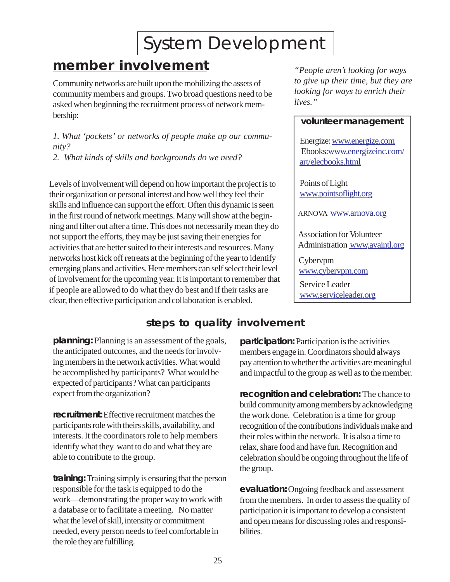## <span id="page-25-0"></span>**member involvement** *"People aren't looking for ways*

Community networks are built upon the mobilizing the assets of *to give up their time, but they are community members and groups. Two broad questions need to be*<br>existent *looking* community the recruitment process of potwork members. *lives.* asked when beginning the recruitment process of network membership:

*1. What 'pockets' or networks of people make up our commu-*<br>*nity?* Energize:<www.energize.com>/<br>2. What kinds of skills and backgrounds do we need?  $\left\{\n \begin{array}{l}\n \text{Ebooks:} \text{www.energize:} \text{conv.}\n \end{array}\n\right\}$ 

Levels of involvement will depend on how important the project is to Points of Light their organization or personal interest and how well they feel their www.pointsoflight.org skills and influence can support the effort. Often this dynamic is seen in the first round of network meetings. Many will show at the beginning and filter out after a time. This does not necessarily mean they do not support the efforts, they may be just saving their energies for<br>activities that are better suited to their interests and resources Many Administration www.avaintl.org activities that are better suited to their interests and resources. Many networks host kick off retreats at the beginning of the year to identify  $\bigcup$  Cybervpm emerging plans and activities. Here members can self select their level of involvement for the upcoming year. It is important to remember that or involvement for the upcoming year. It is important to remember that<br>if people are allowed to do what they do best and if their tasks are<br>clear, then effective participation and collaboration is enabled.

 $\overline{\phantom{a}}$ 

#### **volunteer management**

ARNOVA www.arnova.org

## **steps to quality involvement**

**planning:** Planning is an assessment of the goals, **participation:** Participation is the activities the anticipated outcomes, and the needs for involv- members engage in. Coordinators should always expected of participants? What can participants

**recruitment:** Effective recruitment matches the the work done. Celebration is a time for group interests. It the coordinators role to help members their roles within the network. It is also a time to identify what they want to do and what they are relax, share food and have fun. Recognition and

**training:** Training simply is ensuring that the person responsible for the task is equipped to do the **evaluation:** Ongoing feedback and assessment work—demonstrating the proper way to work with from the members. In order to assess the quality of a database or to facilitate a meeting. No matter participation it is important to develop a consistent what the level of skill, intensity or commitment and open means for discussing roles and responsineeded, every person needs to feel comfortable in bilities. the role they are fulfilling.

ing members in the network activities. What would pay attention to whether the activities are meaningful be accomplished by participants? What would be and impactful to the group as well as to the member.

expect from the organization? **recognition and celebration:** The chance to build community among members by acknowledging participants role with theirs skills, availability, and recognition of the contributions individuals make and able to contribute to the group. celebration should be ongoing throughout the life of the group.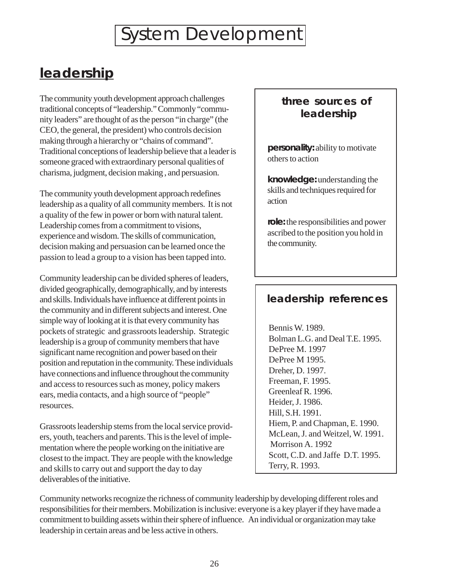## <span id="page-26-0"></span>**leadership**

The community youth development approach challenges traditional concepts of "leadership." Commonly "community leaders" are thought of as the person "in charge" (the CEO, the general, the president) who controls decision making through a hierarchy or "chains of command". Traditional conceptions of leadership believe that a leader is someone graced with extraordinary personal qualities of charisma, judgment, decision making , and persuasion.

The community youth development approach redefines leadership as a quality of all community members. It is not a quality of the few in power or born with natural talent. Leadership comes from a commitment to visions, experience and wisdom. The skills of communication, decision making and persuasion can be learned once the passion to lead a group to a vision has been tapped into.

Community leadership can be divided spheres of leaders, divided geographically, demographically, and by interests and skills. Individuals have influence at different points in the community and in different subjects and interest. One simple way of looking at it is that every community has pockets of strategic and grassroots leadership. Strategic leadership is a group of community members that have significant name recognition and power based on their position and reputation in the community. These individuals have connections and influence throughout the community and access to resources such as money, policy makers ears, media contacts, and a high source of "people" resources.

Grassroots leadership stems from the local service providers, youth, teachers and parents. This is the level of implementation where the people working on the initiative are closest to the impact. They are people with the knowledge and skills to carry out and support the day to day deliverables of the initiative.

## **three sources of leadership**

**personality:** ability to motivate others to action

**knowledge:** understanding the skills and techniques required for action

**role:** the responsibilities and power ascribed to the position you hold in the community.

## **leadership references**

Bennis W. 1989. Bolman L.G. and Deal T.E. 1995. DePree M. 1997 DePree M 1995. Dreher, D. 1997. Freeman, F. 1995. Greenleaf R. 1996. Heider, J. 1986. Hill, S.H. 1991. Hiem, P. and Chapman, E. 1990. McLean, J. and Weitzel, W. 1991. Morrison A. 1992 Scott, C.D. and Jaffe D.T. 1995. Terry, R. 1993.

Community networks recognize the richness of community leadership by developing different roles and responsibilities for their members. Mobilization is inclusive: everyone is a key player if they have made a commitment to building assets within their sphere of influence. An individual or organization may take leadership in certain areas and be less active in others.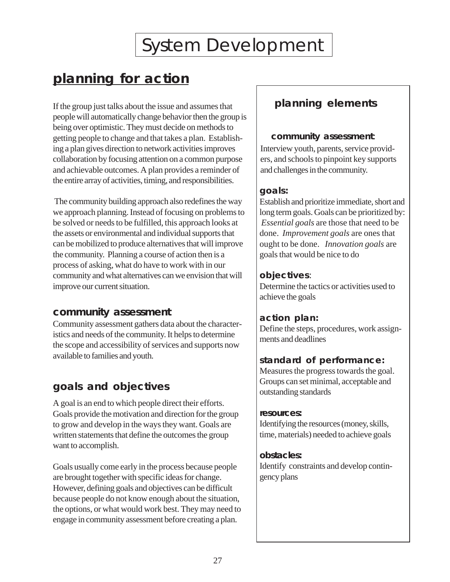## <span id="page-27-0"></span>**planning for action**

If the group just talks about the issue and assumes that people will automatically change behavior then the group is being over optimistic. They must decide on methods to getting people to change and that takes a plan. Establishing a plan gives direction to network activities improves collaboration by focusing attention on a common purpose and achievable outcomes. A plan provides a reminder of the entire array of activities, timing, and responsibilities.

 The community building approach also redefines the way we approach planning. Instead of focusing on problems to be solved or needs to be fulfilled, this approach looks at the assets or environmental and individual supports that can be mobilized to produce alternatives that will improve the community. Planning a course of action then is a process of asking, what do have to work with in our community and what alternatives can we envision that will improve our current situation.

## **community assessment**

Community assessment gathers data about the characteristics and needs of the community. It helps to determine the scope and accessibility of services and supports now available to families and youth.

## **goals and objectives**

A goal is an end to which people direct their efforts. Goals provide the motivation and direction for the group to grow and develop in the ways they want. Goals are written statements that define the outcomes the group want to accomplish.

Goals usually come early in the process because people are brought together with specific ideas for change. However, defining goals and objectives can be difficult because people do not know enough about the situation, the options, or what would work best. They may need to engage in community assessment before creating a plan.

## **planning elements**

 $\overline{\phantom{a}}$ 

### **community assessment**:

Interview youth, parents, service providers, and schools to pinpoint key supports and challenges in the community.

## **goals:**

Establish and prioritize immediate, short and long term goals. Goals can be prioritized by:  *Essential goals* are those that need to be done. *Improvement goals* are ones that ought to be done. *Innovation goals* are goals that would be nice to do

## **objectives**:

Determine the tactics or activities used to achieve the goals

## **action plan:**

Define the steps, procedures, work assignments and deadlines

## **standard of performance:**

Measures the progress towards the goal. Groups can set minimal, acceptable and outstanding standards

#### **resources:**

Identifying the resources (money, skills, time, materials) needed to achieve goals

### **obstacles:**

Identify constraints and develop contingency plans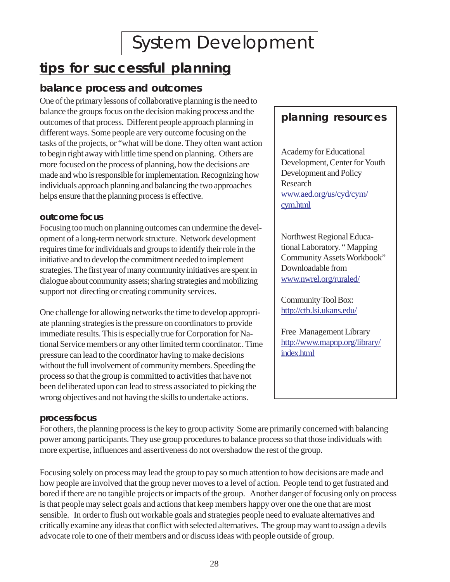## **tips for successful planning**

## **balance process and outcomes**

One of the primary lessons of collaborative planning is the need to balance the groups focus on the decision making process and the outcomes of that process. Different people approach planning in **planning resources**  different ways. Some people are very outcome focusing on the tasks of the projects, or "what will be done. They often want action to begin right away with little time spend on planning. Others are Academy for Educational<br>more focused on the process of planning how the decisions are Development, Center for Youth more focused on the process of planning, how the decisions are Development, Center for made and who is responsible for implementation. Recognizing how Development and Policy made and who is responsible for implementation. Recognizing how Development and policy individuals approach planning and belonging the two approaches individuals approach planning and balancing the two approaches Research<br>helps ensure that the planning process is effective<br>www.aed.org/us/cyd/cym/ helps ensure that the planning process is effective.

### **outcome focus**

Focusing too much on planning outcomes can undermine the development of a long-term network structure. Network development Northwest Regional Educa-<br>
requires time for individuals and groups to identify their role in the tional Laboratory. "Mapping requires time for individuals and groups to identify their role in the tional Laboratory. "Mapping<br>initiative and to develop the commitment needed to implement<br>Community Assets Workbook" initiative and to develop the commitment needed to implement Community Assets Number of many community initiatives are spent in Downloadable from strategies. The first year of many community initiatives are spent in Downloadable from<br>dialogue about community assets: sharing strategies and mobilizing<br>www.nwrel.org/ruraled/ dialogue about community assets; sharing strategies and mobilizing support not directing or creating community services.

One challenge for allowing networks the time to develop appropri-<br>  $\frac{http://ctb.lsi.ukans.edu/$ ate planning strategies is the pressure on coordinators to provide immediate results. This is especially true for Corporation for Na-<br>
Free Management Library<br>  $\frac{\text{Ric} \times \text{Ric} \times \text{Ric} \times \text{Ric} \times \text{Ric} \times \text{Ric} \times \text{Ric} \times \text{Ric} \times \text{Ric} \times \text{Ric} \times \text{Ric} \times \text{Ric} \times \text{Ric} \times \text{Ric} \times \text{Ric} \times \text{Ric}$ tional Service members or any other limited term coordinator.. Time  $\frac{\text{http://www}}{\text{index.html}}$ pressure can lead to the coordinator having to make decisions without the full involvement of community members. Speeding the process so that the group is committed to activities that have not been deliberated upon can lead to stress associated to picking the wrong objectives and not having the skills to undertake actions.

cym.html

Community Tool Box:

## **process focus**

For others, the planning process is the key to group activity Some are primarily concerned with balancing power among participants. They use group procedures to balance process so that those individuals with more expertise, influences and assertiveness do not overshadow the rest of the group.

Focusing solely on process may lead the group to pay so much attention to how decisions are made and how people are involved that the group never moves to a level of action. People tend to get fustrated and bored if there are no tangible projects or impacts of the group. Another danger of focusing only on process is that people may select goals and actions that keep members happy over one the one that are most sensible. In order to flush out workable goals and strategies people need to evaluate alternatives and critically examine any ideas that conflict with selected alternatives. The group may want to assign a devils advocate role to one of their members and or discuss ideas with people outside of group.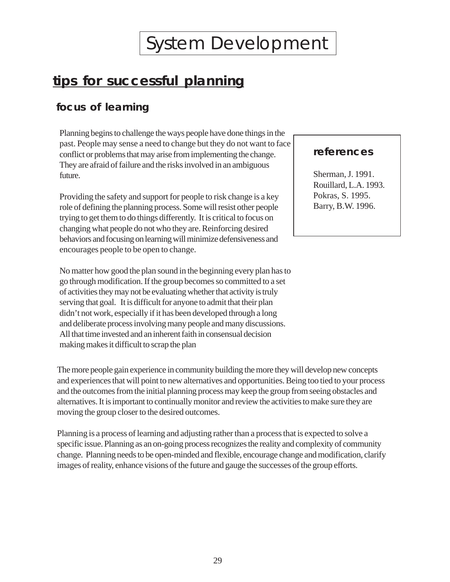## **tips for successful planning**

## **focus of learning**

Planning begins to challenge the ways people have done things in the past. People may sense a need to change but they do not want to face conflict or problems that may arise from implementing the change. **references** They are afraid of failure and the risks involved in an ambiguous future. Sherman, J. 1991.

Providing the safety and support for people to risk change is a key Pokras, S. 1995. role of defining the planning process. Some will resist other people Barry, B.W. 1996. trying to get them to do things differently. It is critical to focus on changing what people do not who they are. Reinforcing desired behaviors and focusing on learning will minimize defensiveness and encourages people to be open to change.

No matter how good the plan sound in the beginning every plan has to go through modification. If the group becomes so committed to a set of activities they may not be evaluating whether that activity is truly serving that goal. It is difficult for anyone to admit that their plan didn't not work, especially if it has been developed through a long and deliberate process involving many people and many discussions. All that time invested and an inherent faith in consensual decision making makes it difficult to scrap the plan

The more people gain experience in community building the more they will develop new concepts and experiences that will point to new alternatives and opportunities. Being too tied to your process and the outcomes from the initial planning process may keep the group from seeing obstacles and alternatives. It is important to continually monitor and review the activities to make sure they are moving the group closer to the desired outcomes.

Planning is a process of learning and adjusting rather than a process that is expected to solve a specific issue. Planning as an on-going process recognizes the reality and complexity of community change. Planning needs to be open-minded and flexible, encourage change and modification, clarify images of reality, enhance visions of the future and gauge the successes of the group efforts.

 $\overline{\phantom{a}}$ 

Rouillard, L.A. 1993.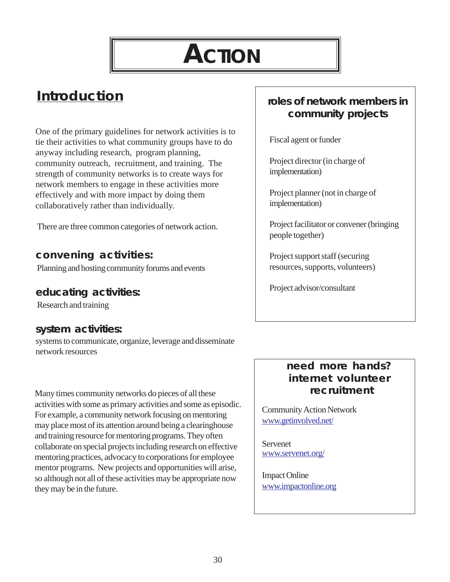# **ACTION**

## <span id="page-30-0"></span>**Introduction**

One of the primary guidelines for network activities is to tie their activities to what community groups have to do anyway including research, program planning, community outreach, recruitment, and training. The strength of community networks is to create ways for network members to engage in these activities more effectively and with more impact by doing them collaboratively rather than individually.

There are three common categories of network action.

## **convening activities:**

Planning and hosting community forums and events

## **educating activities:**

Research and training

## **system activities:**

systems to communicate, organize, leverage and disseminate network resources

Many times community networks do pieces of all these activities with some as primary activities and some as episodic. For example, a community network focusing on mentoring may place most of its attention around being a clearinghouse and training resource for mentoring programs. They often collaborate on special projects including research on effective mentoring practices, advocacy to corporations for employee mentor programs. New projects and opportunities will arise, so although not all of these activities may be appropriate now they may be in the future.

## **roles of network members in community projects**

Fiscal agent or funder

Project director (in charge of implementation)

Project planner (not in charge of implementation)

Project facilitator or convener (bringing people together)

Project support staff (securing resources, supports, volunteers)

Project advisor/consultant

## **need more hands? internet volunteer recruitment**

Community Action Network [www.getinvolved.net/](http://www.getinvolved.net/) 

Servenet [www.servenet.org/](http://www.servenet.org) 

Impact Online [www.impactonline.org](http://impactonline.org)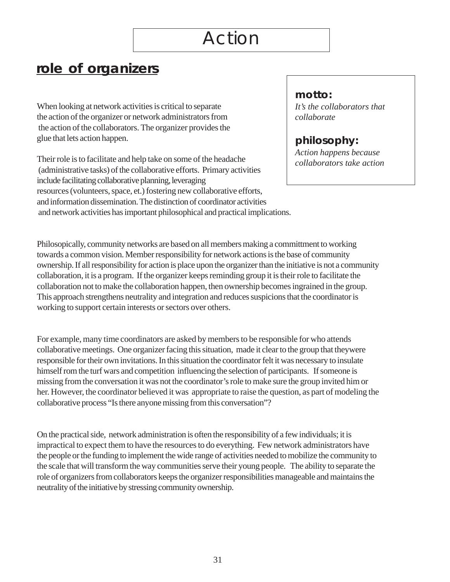## <span id="page-31-0"></span>**role of organizers**

When looking at network activities is critical to separate *It's the collaborators that* the action of the organizer or network administrators from *collaborate*  the action of the collaborators. The organizer provides the glue that lets action happen. **philosophy: philosophy:** 

Their role is to facilitate and help take on some of the headache *collaborators take action collaborators take action* (administrative tasks) of the collaborative efforts. Primary activities include facilitating collaborative planning, leveraging resources (volunteers, space, et.) fostering new collaborative efforts, and information dissemination. The distinction of coordinator activities and network activities has important philosophical and practical implications.

## **motto:**

Philosopically, community networks are based on all members making a committment to working towards a common vision. Member responsibility for network actions is the base of community ownership. If all responsibility for action is place upon the organizer than the initiative is not a community collaboration, it is a program. If the organizer keeps reminding group it is their role to facilitate the collaboration not to make the collaboration happen, then ownership becomes ingrained in the group. This approach strengthens neutrality and integration and reduces suspicions that the coordinator is working to support certain interests or sectors over others.

For example, many time coordinators are asked by members to be responsible for who attends collaborative meetings. One organizer facing this situation, made it clear to the group that theywere responsible for their own invitations. In this situation the coordinator felt it was necessary to insulate himself rom the turf wars and competition influencing the selection of participants. If someone is missing from the conversation it was not the coordinator's role to make sure the group invited him or her. However, the coordinator believed it was appropriate to raise the question, as part of modeling the collaborative process "Is there anyone missing from this conversation"?

On the practical side, network administration is often the responsibility of a few individuals; it is impractical to expect them to have the resources to do everything. Few network administrators have the people or the funding to implement the wide range of activities needed to mobilize the community to the scale that will transform the way communities serve their young people. The ability to separate the role of organizers from collaborators keeps the organizer responsibilities manageable and maintains the neutrality of the initiative by stressing community ownership.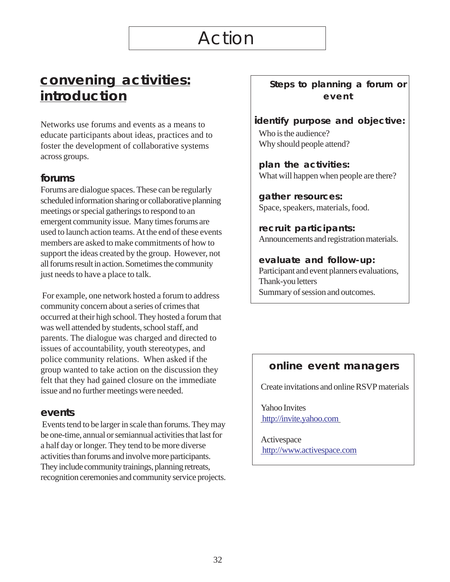## <span id="page-32-0"></span>**convening activities: introduction**

Networks use forums and events as a means to educate participants about ideas, practices and to foster the development of collaborative systems across groups.

### **forums**

Forums are dialogue spaces. These can be regularly scheduled information sharing or collaborative planning meetings or special gatherings to respond to an emergent community issue. Many times forums are used to launch action teams. At the end of these events members are asked to make commitments of how to support the ideas created by the group. However, not all forums result in action. Sometimes the community just needs to have a place to talk.

 For example, one network hosted a forum to address community concern about a series of crimes that occurred at their high school. They hosted a forum that was well attended by students, school staff, and parents. The dialogue was charged and directed to issues of accountability, youth stereotypes, and police community relations. When asked if the group wanted to take action on the discussion they felt that they had gained closure on the immediate issue and no further meetings were needed.

#### **events**

 Events tend to be larger in scale than forums. They may be one-time, annual or semiannual activities that last for a half day or longer. They tend to be more diverse activities than forums and involve more participants. They include community trainings, planning retreats, recognition ceremonies and community service projects. **Steps to planning a forum or event** 

## **identify purpose and objective:**

Who is the audience? Why should people attend?

**plan the activities:**  What will happen when people are there?

**gather resources:**  Space, speakers, materials, food.

**recruit participants:**  Announcements and registration materials.

#### **evaluate and follow-up:**  Participant and event planners evaluations, Thank-you letters Summary of session and outcomes.

## **online event managers**

Create invitations and online RSVP materials

Yahoo Invites [http://invite.yahoo.com](http://invites.yahoo.com/) 

Activespace  [http://www.activespace.com](http://www.activespace.com/applib/Entertainment/Event_Planner.html)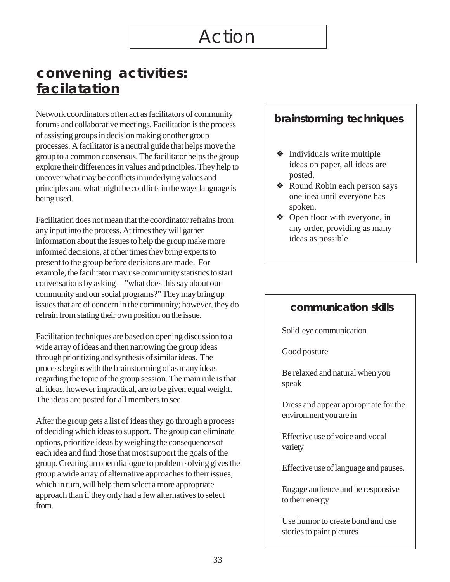## **convening activities: facilatation**

Network coordinators often act as facilitators of community forums and collaborative meetings. Facilitation is the process of assisting groups in decision making or other group processes. A facilitator is a neutral guide that helps move the group to a common consensus. The facilitator helps the group explore their differences in values and principles. They help to uncover what may be conflicts in underlying values and principles and what might be conflicts in the ways language is being used.

Facilitation does not mean that the coordinator refrains from any input into the process. At times they will gather information about the issues to help the group make more informed decisions, at other times they bring experts to present to the group before decisions are made. For example, the facilitator may use community statistics to start conversations by asking—"what does this say about our community and our social programs?" They may bring up issues that are of concern in the community; however, they do refrain from stating their own position on the issue.

Facilitation techniques are based on opening discussion to a wide array of ideas and then narrowing the group ideas through prioritizing and synthesis of similar ideas. The process begins with the brainstorming of as many ideas regarding the topic of the group session. The main rule is that all ideas, however impractical, are to be given equal weight. The ideas are posted for all members to see.

After the group gets a list of ideas they go through a process of deciding which ideas to support. The group can eliminate options, prioritize ideas by weighing the consequences of each idea and find those that most support the goals of the group. Creating an open dialogue to problem solving gives the group a wide array of alternative approaches to their issues, which in turn, will help them select a more appropriate approach than if they only had a few alternatives to select from.

## **brainstorming techniques**

- $\triangleleft$  Individuals write multiple ideas on paper, all ideas are posted.
- ❖ Round Robin each person says one idea until everyone has spoken.
- ❖ Open floor with everyone, in any order, providing as many ideas as possible

## **communication skills**

Solid eye communication

Good posture

Be relaxed and natural when you speak

Dress and appear appropriate for the environment you are in

Effective use of voice and vocal variety

Effective use of language and pauses.

Engage audience and be responsive to their energy

Use humor to create bond and use stories to paint pictures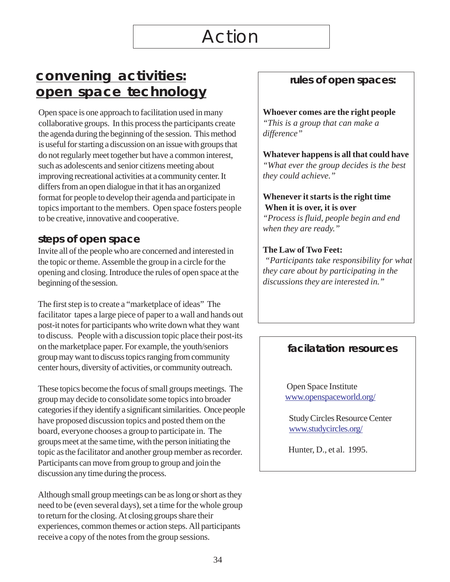## **convening activities: open space technology**

Open space is one approach to facilitation used in many collaborative groups. In this process the participants create the agenda during the beginning of the session. This method is useful for starting a discussion on an issue with groups that do not regularly meet together but have a common interest, such as adolescents and senior citizens meeting about improving recreational activities at a community center. It differs from an open dialogue in that it has an organized format for people to develop their agenda and participate in topics important to the members. Open space fosters people to be creative, innovative and cooperative.

### **steps of open space**

Invite all of the people who are concerned and interested in the topic or theme. Assemble the group in a circle for the opening and closing. Introduce the rules of open space at the beginning of the session.

The first step is to create a "marketplace of ideas" The facilitator tapes a large piece of paper to a wall and hands out post-it notes for participants who write down what they want to discuss. People with a discussion topic place their post-its on the marketplace paper. For example, the youth/seniors group may want to discuss topics ranging from community center hours, diversity of activities, or community outreach.

These topics become the focus of small groups meetings. The group may decide to consolidate some topics into broader categories if they identify a significant similarities. Once people have proposed discussion topics and posted them on the board, everyone chooses a group to participate in. The groups meet at the same time, with the person initiating the topic as the facilitator and another group member as recorder. Participants can move from group to group and join the discussion any time during the process.

Although small group meetings can be as long or short as they need to be (even several days), set a time for the whole group to return for the closing. At closing groups share their experiences, common themes or action steps. All participants receive a copy of the notes from the group sessions.

## **rules of open spaces:**

**Whoever comes are the right people**  *"This is a group that can make a difference"* 

**Whatever happens is all that could have**  *"What ever the group decides is the best they could achieve."* 

#### **Whenever it starts is the right time When it is over, it is over**

*"Process is fluid, people begin and end when they are ready."* 

#### **The Law of Two Feet:**

 *"Participants take responsibility for what they care about by participating in the discussions they are interested in."* 

## **facilatation resources**

Open Space Institute [www.openspaceworld.org/](http://www.openspaceworld.org) 

Study Circles Resource Center [www.studycircles.org/](http://www.studycircles.org/) 

Hunter, D., et al. 1995.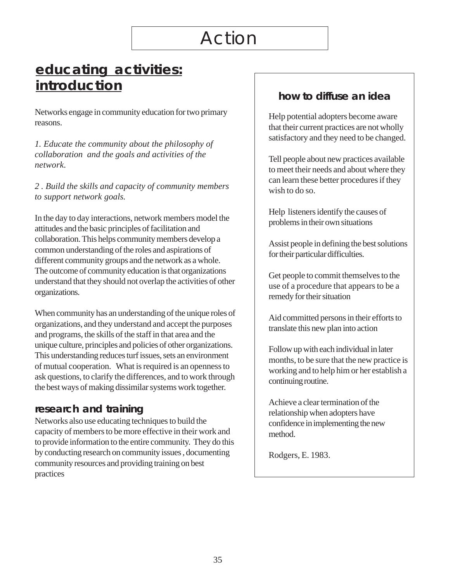## <span id="page-35-0"></span>**educating activities: introduction**

Networks engage in community education for two primary reasons.

*1. Educate the community about the philosophy of collaboration and the goals and activities of the network.* 

*2 . Build the skills and capacity of community members to support network goals.* 

In the day to day interactions, network members model the attitudes and the basic principles of facilitation and collaboration. This helps community members develop a common understanding of the roles and aspirations of different community groups and the network as a whole. The outcome of community education is that organizations understand that they should not overlap the activities of other organizations.

When community has an understanding of the unique roles of organizations, and they understand and accept the purposes and programs, the skills of the staff in that area and the unique culture, principles and policies of other organizations. This understanding reduces turf issues, sets an environment of mutual cooperation. What is required is an openness to ask questions, to clarify the differences, and to work through the best ways of making dissimilar systems work together.

## **research and training**

Networks also use educating techniques to build the capacity of members to be more effective in their work and to provide information to the entire community. They do this by conducting research on community issues , documenting community resources and providing training on best practices

## **how to diffuse an idea**

Help potential adopters become aware that their current practices are not wholly satisfactory and they need to be changed.

Tell people about new practices available to meet their needs and about where they can learn these better procedures if they wish to do so.

Help listeners identify the causes of problems in their own situations

Assist people in defining the best solutions for their particular difficulties.

Get people to commit themselves to the use of a procedure that appears to be a remedy for their situation

Aid committed persons in their efforts to translate this new plan into action

Follow up with each individual in later months, to be sure that the new practice is working and to help him or her establish a continuing routine.

Achieve a clear termination of the relationship when adopters have confidence in implementing the new method.

Rodgers, E. 1983.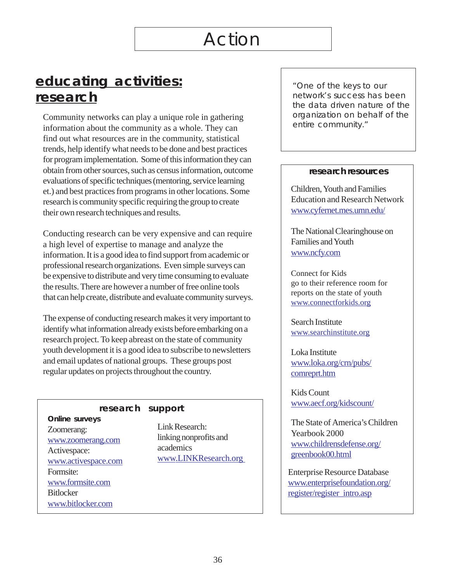## **educating activities: research**

Community networks can play a unique role in gathering information about the community as a whole. They can find out what resources are in the community, statistical trends, help identify what needs to be done and best practices for program implementation. Some of this information they can obtain from other sources, such as census information, outcome evaluations of specific techniques (mentoring, service learning et.) and best practices from programs in other locations. Some research is community specific requiring the group to create their own research techniques and results.

Conducting research can be very expensive and can require a high level of expertise to manage and analyze the information. It is a good idea to find support from academic or professional research organizations. Even simple surveys can be expensive to distribute and very time consuming to evaluate the results. There are however a number of free online tools that can help create, distribute and evaluate community surveys.

The expense of conducting research makes it very important to identify what information already exists before embarking on a research project. To keep abreast on the state of community youth development it is a good idea to subscribe to newsletters and email updates of national groups. These groups post regular updates on projects throughout the country.

## **Online surveys**  Zoomerang: Link Research:<br>  $\frac{Link}{}$  Research:<br>  $\frac{Link}{}$  Linking nonprofits and [www.zoomerang.com](http://www.zoomerang.com) linking non<br>Activectors academics www.activespace.com Formsite: [www.formsite.com](http://www.formsite.com)  **Bitlocker** [www.bitlocker.com](http://www.bitlocker.com)

### **research support**

Activespace: academics<br>www.LINKResearch.org

"One of the keys to our network's success has been the data driven nature of the organization on behalf of the entire community."

#### **research resources**

Children, Youth and Families Education and Research Network [www.cyfernet.mes.umn.edu/](http://www.cyfernet.mes.umn.edu/) 

The National Clearinghouse on Families and Youth [www.ncfy.com](http://www.ncfy.com) 

Connect for Kids go to their reference room for reports on the state of youth [www.connectforkids.org](www.connectforkids.org

) 

Search Institute <www.searchinstitute.org>

Loka Institute [www.loka.org/crn/pubs/](http://www.loka.org/crn/pubs/comreprt.htm

)  [comreprt.htm](http://www.loka.org/crn/pubs/comreprt.htm

) 

Kids Count [www.aecf.org/kidscount/](http://www.aecf.org/kidscount/) 

The State of America's Children Yearbook 2000 [www.childrensdefense.org/](http://www.childrensdefense.org/greenbook00.html)  [greenbook00.html](http://www.childrensdefense.org/greenbook00.html)

Enterprise Resource Database [www.enterprisefoundation.org/](http://www.enterprisefoundation.org/register/register_intro.asp)  [register/register\\_intro.asp](http://www.enterprisefoundation.org/register/register_intro.asp)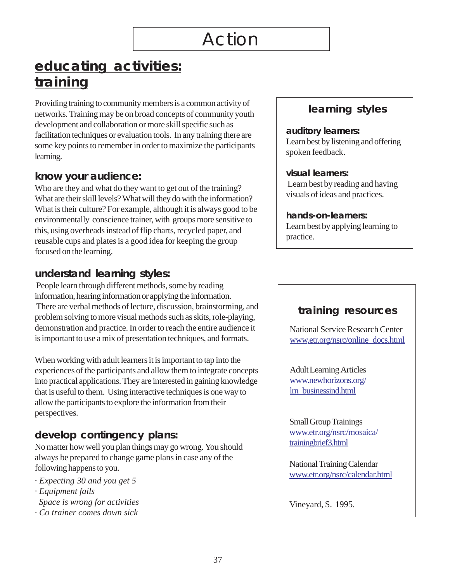## **educating activities: training**

Providing training to community members is a common activity of networks. Training may be on broad concepts of community youth development and collaboration or more skill specific such as facilitation techniques or evaluation tools. In any training there are some key points to remember in order to maximize the participants learning.

## **know your audience:**

Who are they and what do they want to get out of the training? What are their skill levels? What will they do with the information? What is their culture? For example, although it is always good to be environmentally conscience trainer, with groups more sensitive to this, using overheads instead of flip charts, recycled paper, and reusable cups and plates is a good idea for keeping the group focused on the learning.

## **understand learning styles:**

 People learn through different methods, some by reading information, hearing information or applying the information. There are verbal methods of lecture, discussion, brainstorming, and problem solving to more visual methods such as skits, role-playing, demonstration and practice. In order to reach the entire audience it is important to use a mix of presentation techniques, and formats.

When working with adult learners it is important to tap into the experiences of the participants and allow them to integrate concepts into practical applications. They are interested in gaining knowledge that is useful to them. Using interactive techniques is one way to allow the participants to explore the information from their perspectives.

## **develop contingency plans:**

No matter how well you plan things may go wrong. You should always be prepared to change game plans in case any of the following happens to you.

- *· Expecting 30 and you get 5*
- *· Equipment fails Space is wrong for activities*
- *· Co trainer comes down sick*

## **learning styles**

#### **auditory learners:**

Learn best by listening and offering spoken feedback.

#### **visual learners:**

 Learn best by reading and having visuals of ideas and practices.

#### **hands-on-learners:**

Learn best by applying learning to practice.

## **training resources**

National Service Research Center [www.etr.org/nsrc/online\\_docs.html](http://www.etr.org/nsrc/online_docs.html) 

Adult Learning Articles [www.newhorizons.org/](http://www.newhorizons.org/lrn_businessind.html)  [lrn\\_businessind.html](http://www.newhorizons.org/lrn_businessind.html) 

Small Group Trainings [www.etr.org/nsrc/mosaica/](http://www.etr.org/nsrc/mosaica/trainingbrief3.html)  [trainingbrief3.html](http://www.etr.org/nsrc/mosaica/trainingbrief3.html) 

National Training Calendar [www.etr.org/nsrc/calendar.html](http://www.etr.org/nsrc/calendar.html) 

Vineyard, S. 1995.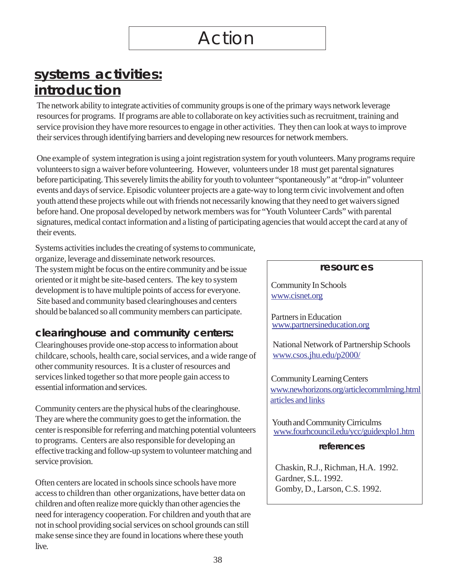## <span id="page-38-0"></span>**systems activities: introduction**

The network ability to integrate activities of community groups is one of the primary ways network leverage resources for programs. If programs are able to collaborate on key activities such as recruitment, training and service provision they have more resources to engage in other activities. They then can look at ways to improve their services through identifying barriers and developing new resources for network members.

One example of system integration is using a joint registration system for youth volunteers. Many programs require volunteers to sign a waiver before volunteering. However, volunteers under 18 must get parental signatures before participating. This severely limits the ability for youth to volunteer "spontaneously" at "drop-in" volunteer events and days of service. Episodic volunteer projects are a gate-way to long term civic involvement and often youth attend these projects while out with friends not necessarily knowing that they need to get waivers signed before hand. One proposal developed by network members was for "Youth Volunteer Cards" with parental signatures, medical contact information and a listing of participating agencies that would accept the card at any of their events.

Systems activities includes the creating of systems to communicate, organize, leverage and disseminate network resources. The system might be focus on the entire community and be issue **resources** oriented or it might be site-based centers. The key to system development is to have multiple points of access for everyone.<br>Site based and community based clearinghouses and centers should be balanced so all community members can participate. Partners in Education

## **clearinghouse and community centers:**

Clearinghouses provide one-stop access to information about National Network of Partnership Schools childcare, schools, health care, social services, and a wide range of  $\parallel$  [www.csos.jhu.edu/p2000/](http://www.csos.jhu.edu/p2000/) other community resources. It is a cluster of resources and services linked together so that more people gain access to Community Learning Centers<br>essential information and services.

Community centers are the physical hubs of the clearinghouse. They are where the community goes to get the information. the<br>
center is responsible for referring and matching potential volunteers<br>
to programs. Centers are also responsible for developing an to programs. Centers are also responsible for developing an **references** effective tracking and follow-up system to volunteer matching and service provision.<br>
Chaskin, R.J., Richman, H.A. 1992.

Often centers are located in schools since schools have more<br>
Cardner, S.L. 1992.<br>
Gomby, D., Larson, C.S. 1992. access to children than other organizations, have better data on children and often realize more quickly than other agencies the need for interagency cooperation. For children and youth that are not in school providing social services on school grounds can still make sense since they are found in locations where these youth live.

<www.partnersineducation.org>

www.newhorizons.org/articlecommlrning.html [articles and links](http://www.newhorizons.org/articlecommlrning.html

articles and links)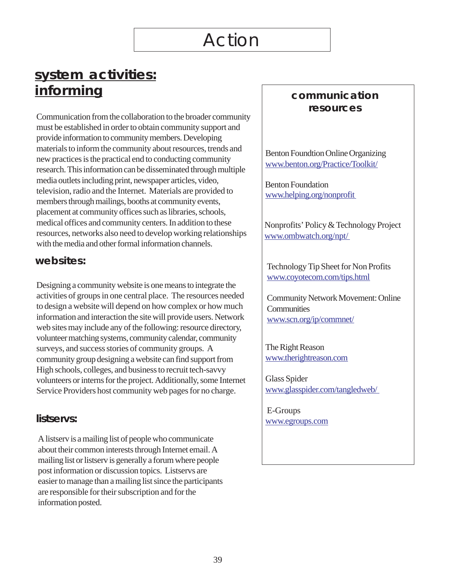## **system activities: informing**

Communication from the collaboration to the broader community must be established in order to obtain community support and provide information to community members. Developing materials to inform the community about resources, trends and new practices is the practical end to conducting community research. This information can be disseminated through multiple media outlets including print, newspaper articles, video, television, radio and the Internet. Materials are provided to members through mailings, booths at community events, placement at community offices such as libraries, schools, medical offices and community centers. In addition to these resources, networks also need to develop working relationships with the media and other formal information channels.

### **websites:**

Designing a community website is one means to integrate the activities of groups in one central place. The resources needed to design a website will depend on how complex or how much information and interaction the site will provide users. Network web sites may include any of the following: resource directory, volunteer matching systems, community calendar, community surveys, and success stories of community groups. A community group designing a website can find support from High schools, colleges, and business to recruit tech-savvy volunteers or interns for the project. Additionally, some Internet Service Providers host community web pages for no charge.

### **listservs:**

A listserv is a mailing list of people who communicate about their common interests through Internet email. A mailing list or listserv is generally a forum where people post information or discussion topics. Listservs are easier to manage than a mailing list since the participants are responsible for their subscription and for the information posted.

## **communication resources**

Benton Foundtion Online Organizing [www.benton.org/Practice/Toolkit/](http://www.benton.org/Practice/Toolkit/) 

Benton Foundation [www.helping.org/nonprofit](http://www.helping.org/nonprofit ) 

Nonprofits' Policy & Technology Project [www.ombwatch.org/npt/](http://www.ombwatch.org/npt/ ) 

Technology Tip Sheet for Non Profits [www.coyotecom.com/tips.html](http://www.coyotecom.com/tips.html) 

Community Network Movement: Online **Communities** [www.scn.org/ip/commnet/](http://www.scn.org/ip/commnet/) 

The Right Reason [www.therightreason.com](http://www.therightreason.com) 

Glass Spider [www.glasspider.com/tangledweb/](http://www.glasspider.com/tangledweb/ )

 E-Groups [www.egroups.com](http://www.egroups.com)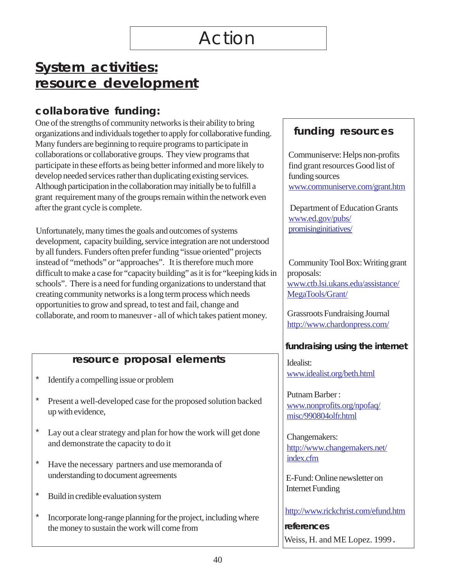## **System activities: resource development**

## **collaborative funding:**

One of the strengths of community networks is their ability to bring organizations and individuals together to apply for collaborative funding. Many funders are beginning to require programs to participate in collaborations or collaborative groups. They view programs that participate in these efforts as being better informed and more likely to develop needed services rather than duplicating existing services. Although participation in the collaboration may initially be to fulfill a grant requirement many of the groups remain within the network even after the grant cycle is complete.

Unfortunately, many times the goals and outcomes of systems development, capacity building, service integration are not understood by all funders. Funders often prefer funding "issue oriented" projects instead of "methods" or "approaches". It is therefore much more difficult to make a case for "capacity building" as it is for "keeping kids in schools". There is a need for funding organizations to understand that creating community networks is a long term process which needs opportunities to grow and spread, to test and fail, change and collaborate, and room to maneuver - all of which takes patient money.

## **resource proposal elements**

- \* Identify a compelling issue or problem
- \* Present a well-developed case for the proposed solution backed up with evidence,
- Lay out a clear strategy and plan for how the work will get done and demonstrate the capacity to do it
- \* Have the necessary partners and use memoranda of understanding to document agreements
- \* Build in credible evaluation system
- \* Incorporate long-range planning for the project, including where the money to sustain the work will come from

## **funding resources**

Communiserve: Helps non-profits find grant resources Good list of funding sources <www.communiserve.com/grant.htm>

 Department of Education Grants [www.ed.gov/pubs/](http://www.ed.gov/pubs/promisinginitiatives/)  [promisinginitiatives/](http://www.ed.gov/pubs/promisinginitiatives/)

 Community Tool Box: Writing grant proposals: [www.ctb.lsi.ukans.edu/assistance/](http://ctb.lsi.ukans.edu/assistance/MegaTools/Grant/)  [MegaTools/Grant/](http://ctb.lsi.ukans.edu/assistance/MegaTools/Grant/)

Grassroots Fundraising Journal <http://www.chardonpress.com/>

## **fundraising using the internet**

Idealist: [www.idealist.org/beth.html](http://www.idealist.org/beth.html 

 ) 

Putnam Barber : [www.nonprofits.org/npofaq/](http://www.nonprofits.org/npofaq/misc/990804olfr.html)  [misc/990804olfr.html](http://www.nonprofits.org/npofaq/misc/990804olfr.html) 

Changemakers: [http://www.changemakers.net/](http://www.changemakers.net/index.cfm)  [index.cfm](http://www.changemakers.net/index.cfm) 

E-Fund: Online newsletter on Internet Funding

<http://www.rickchrist.com/efund.htm>

**references**  Weiss, H. and ME Lopez. 1999.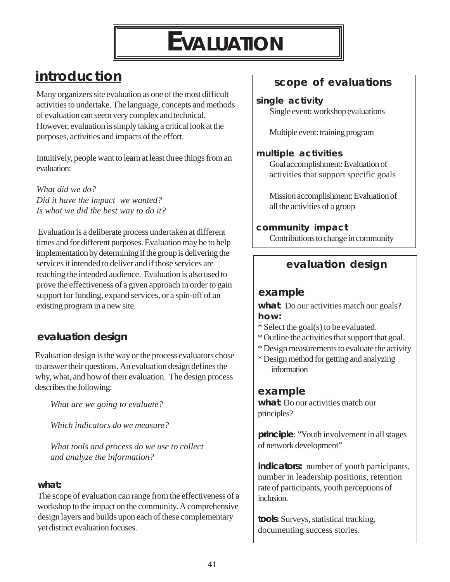# **EVALUATION**

## <span id="page-41-0"></span>**introduction**

Many organizers site evaluation as one of the most difficult activities to undertake. The language, concepts and methods of evaluation can seem very complex and technical. However, evaluation is simply taking a critical look at the purposes, activities and impacts of the effort.

Intuitively, people want to learn at least three things from an evaluation:

*What did we do? Did it have the impact we wanted? Is what we did the best way to do it?*

 Evaluation is a deliberate process undertaken at different times and for different purposes. Evaluation may be to help implementation by determining if the group is delivering the services it intended to deliver and if those services are reaching the intended audience. Evaluation is also used to prove the effectiveness of a given approach in order to gain support for funding, expand services, or a spin-off of an existing program in a new site.

## **evaluation design**

Evaluation design is the way or the process evaluators chose to answer their questions. An evaluation design defines the why, what, and how of their evaluation. The design process describes the following:

*What are we going to evaluate?* 

*Which indicators do we measure?* 

*What tools and process do we use to collect and analyze the information?* 

### **what:**

The scope of evaluation can range from the effectiveness of a workshop to the impact on the community. A comprehensive design layers and builds upon each of these complementary yet distinct evaluation focuses.

## **scope of evaluations**

#### **single activity**

Single event: workshop evaluations

Multiple event: training program

### **multiple activities**

Goal accomplishment: Evaluation of activities that support specific goals

Mission accomplishment: Evaluation of all the activities of a group

### **community impact**

Contributions to change in community

## **evaluation design**

## **example**

**what**: Do our activities match our goals? **how:** 

- \* Select the goal(s) to be evaluated.
- \* Outline the activities that support that goal.
- \* Design measurements to evaluate the activity
- \* Design method for getting and analyzing information

## **example**

**what**: Do our activities match our principles?

**principle**: "Youth involvement in all stages of network development"

**indicators:** number of youth participants, number in leadership positions, retention rate of participants, youth perceptions of inclusion.

**tools**: Surveys, statistical tracking, documenting success stories.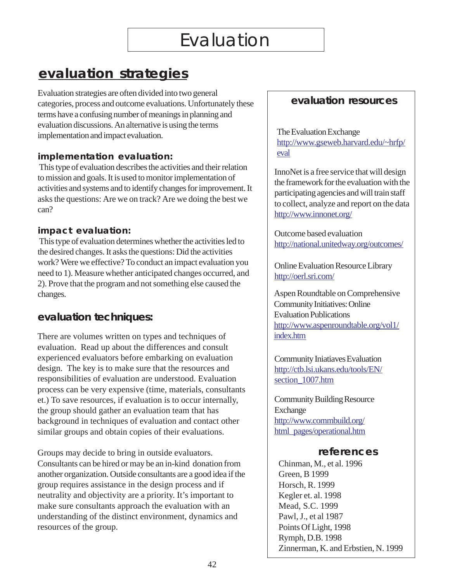## <span id="page-42-0"></span>**evaluation strategies**

Evaluation strategies are often divided into two general categories, process and outcome evaluations. Unfortunately these terms have a confusing number of meanings in planning and evaluation discussions. An alternative is using the terms implementation and impact evaluation.

### **implementation evaluation:**

 This type of evaluation describes the activities and their relation to mission and goals. It is used to monitor implementation of activities and systems and to identify changes for improvement. It asks the questions: Are we on track? Are we doing the best we can?

### **impact evaluation:**

 This type of evaluation determines whether the activities led to the desired changes. It asks the questions: Did the activities work? Were we effective? To conduct an impact evaluation you need to 1). Measure whether anticipated changes occurred, and 2). Prove that the program and not something else caused the changes.

## **evaluation techniques:**

There are volumes written on types and techniques of evaluation. Read up about the differences and consult experienced evaluators before embarking on evaluation design. The key is to make sure that the resources and responsibilities of evaluation are understood. Evaluation process can be very expensive (time, materials, consultants et.) To save resources, if evaluation is to occur internally, the group should gather an evaluation team that has background in techniques of evaluation and contact other similar groups and obtain copies of their evaluations.

Groups may decide to bring in outside evaluators. Consultants can be hired or may be an in-kind donation from another organization. Outside consultants are a good idea if the group requires assistance in the design process and if neutrality and objectivity are a priority. It's important to make sure consultants approach the evaluation with an understanding of the distinct environment, dynamics and resources of the group.

## **evaluation resources**

[The Evaluation Exchange](http://gseweb.harvard.edu/~hfrp/eval/)  [http://www.gseweb.harvard.edu/~hrfp/](http://gseweb.harvard.edu/~hfrp/eval/)  [eval](http://gseweb.harvard.edu/~hfrp/eval/) 

InnoNet is a free service that will design the framework for the evaluation with the participating agencies and will train staff to collect, analyze and report on the data <http://www.innonet.org/>

Outcome based evaluation <http://national.unitedway.org/outcomes/>

Online Evaluation Resource Library <http://oerl.sri.com/>

Aspen Roundtable on Comprehensive Community Initiatives: Online Evaluation Publications [http://www.aspenroundtable.org/vol1/](http://www.aspenroundtable.org/vol1/index.htm)  [index.htm](http://www.aspenroundtable.org/vol1/index.htm) 

Community Iniatiaves Evaluation [http://ctb.lsi.ukans.edu/tools/EN/](http://ctb.lsi.ukans.edu/tools/EN/section_1007.htm)  [section\\_1007.htm](http://ctb.lsi.ukans.edu/tools/EN/section_1007.htm)

Community Building Resource Exchange [http://www.commbuild.org/](http://gseweb.harvard.edu/~hfrp/eval/)  html pages/operational.htm

## **references**

Chinman, M., et al. 1996 Green, B 1999 Horsch, R. 1999 Kegler et. al. 1998 Mead, S.C. 1999 Pawl, J., et al 1987 Points Of Light, 1998 Rymph, D.B. 1998 Zinnerman, K. and Erbstien, N. 1999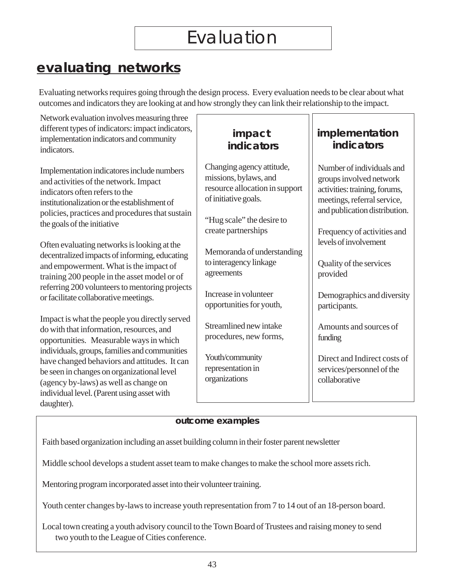## <span id="page-43-0"></span>**evaluating networks**

Evaluating networks requires going through the design process. Every evaluation needs to be clear about what outcomes and indicators they are looking at and how strongly they can link their relationship to the impact.

Network evaluation involves measuring three different types of indicators: impact indicators, implementation indicators and community indicators.

Implementation indicatores include numbers and activities of the network. Impact indicators often refers to the institutionalization or the establishment of policies, practices and procedures that sustain the goals of the initiative

Often evaluating networks is looking at the decentralized impacts of informing, educating and empowerment. What is the impact of training 200 people in the asset model or of referring 200 volunteers to mentoring projects or facilitate collaborative meetings.

Impact is what the people you directly served do with that information, resources, and opportunities. Measurable ways in which individuals, groups, families and communities have changed behaviors and attitudes. It can be seen in changes on organizational level (agency by-laws) as well as change on individual level. (Parent using asset with daughter).

## **impact indicators**

Changing agency attitude, missions, bylaws, and resource allocation in support of initiative goals.

"Hug scale" the desire to create partnerships

Memoranda of understanding to interagency linkage agreements

Increase in volunteer opportunities for youth,

Streamlined new intake procedures, new forms,

Youth/community representation in organizations

## **implementation indicators**

Number of individuals and groups involved network activities: training, forums, meetings, referral service, and publication distribution.

Frequency of activities and levels of involvement

Quality of the services provided

Demographics and diversity participants.

Amounts and sources of funding

Direct and Indirect costs of services/personnel of the collaborative

### **outcome examples**

Faith based organization including an asset building column in their foster parent newsletter

Middle school develops a student asset team to make changes to make the school more assets rich.

Mentoring program incorporated asset into their volunteer training.

Youth center changes by-laws to increase youth representation from 7 to 14 out of an 18-person board.

Local town creating a youth advisory council to the Town Board of Trustees and raising money to send two youth to the League of Cities conference.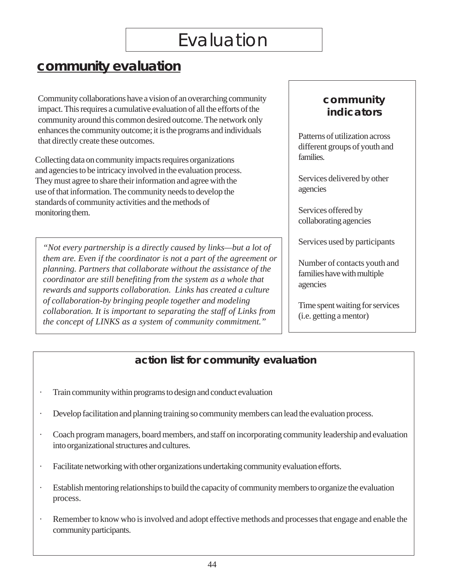# Evaluation

## **community evaluation**

Community collaborations have a vision of an overarching community impact. This requires a cumulative evaluation of all the efforts of the community around this common desired outcome. The network only enhances the community outcome; it is the programs and individuals that directly create these outcomes.

Collecting data on community impacts requires organizations and agencies to be intricacy involved in the evaluation process. They must agree to share their information and agree with the use of that information. The community needs to develop the standards of community activities and the methods of monitoring them.

*"Not every partnership is a directly caused by links—but a lot of them are. Even if the coordinator is not a part of the agreement or planning. Partners that collaborate without the assistance of the coordinator are still benefiting from the system as a whole that rewards and supports collaboration. Links has created a culture of collaboration-by bringing people together and modeling collaboration. It is important to separating the staff of Links from the concept of LINKS as a system of community commitment."* 

## **community indicators**

Patterns of utilization across different groups of youth and families.

Services delivered by other agencies

Services offered by collaborating agencies

Services used by participants

Number of contacts youth and families have with multiple agencies

Time spent waiting for services (i.e. getting a mentor)

## **action list for community evaluation**

- Train community within programs to design and conduct evaluation
- Develop facilitation and planning training so community members can lead the evaluation process.
- Coach program managers, board members, and staff on incorporating community leadership and evaluation into organizational structures and cultures.
- Facilitate networking with other organizations undertaking community evaluation efforts.
- Establish mentoring relationships to build the capacity of community members to organize the evaluation process.
- Remember to know who is involved and adopt effective methods and processes that engage and enable the community participants.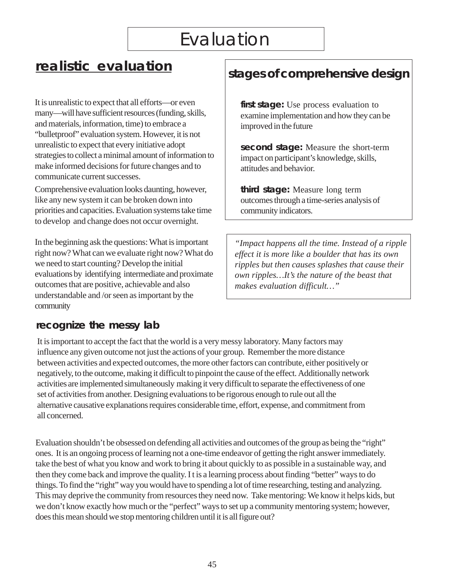It is unrealistic to expect that all efforts—or even **first stage:** Use process evaluation to many—will have sufficient resources (funding, skills, examine implementation and how they can be and materials, information, time) to embrace a improved in the future "bulletproof" evaluation system. However, it is not unrealistic to expect that every initiative adopt **second stage:** Measure the short-term strategies to collect a minimal amount of information to impact on participant's knowledge, skills, make informed decisions for future changes and to attitudes and behavior. communicate current successes.

Comprehensive evaluation looks daunting, however, **third stage:** Measure long term like any new system it can be broken down into outcomes through a time-series analysis of priorities and capacities. Evaluation systems take time community indicators. to develop and change does not occur overnight.

In the beginning ask the questions: What is important *"Impact happens all the time. Instead of a ripple*  right now? What can we evaluate right now? What do *effect it is more like a boulder that has its own*  we need to start counting? Develop the initial *ripples but then causes splashes that cause their* evaluations by identifying intermediate and proximate *own ripples...It's the nature of the beast that* outcomes that are positive, achievable and also *makes evaluation difficult…"*  understandable and /or seen as important by the community

# **<u>realistic evaluation</u>** stages of comprehensive design

## **recognize the messy lab**

It is important to accept the fact that the world is a very messy laboratory. Many factors may influence any given outcome not just the actions of your group. Remember the more distance between activities and expected outcomes, the more other factors can contribute, either positively or negatively, to the outcome, making it difficult to pinpoint the cause of the effect. Additionally network activities are implemented simultaneously making it very difficult to separate the effectiveness of one set of activities from another. Designing evaluations to be rigorous enough to rule out all the alternative causative explanations requires considerable time, effort, expense, and commitment from all concerned.

Evaluation shouldn't be obsessed on defending all activities and outcomes of the group as being the "right" ones. It is an ongoing process of learning not a one-time endeavor of getting the right answer immediately. take the best of what you know and work to bring it about quickly to as possible in a sustainable way, and then they come back and improve the quality. I t is a learning process about finding "better" ways to do things. To find the "right" way you would have to spending a lot of time researching, testing and analyzing. This may deprive the community from resources they need now. Take mentoring: We know it helps kids, but we don't know exactly how much or the "perfect" ways to set up a community mentoring system; however, does this mean should we stop mentoring children until it is all figure out?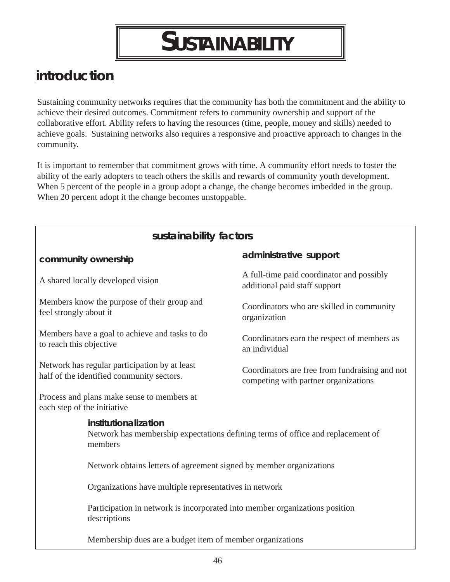# **SUSTAINABILITY**

## <span id="page-46-0"></span>**introduction**

Sustaining community networks requires that the community has both the commitment and the ability to achieve their desired outcomes. Commitment refers to community ownership and support of the collaborative effort. Ability refers to having the resources (time, people, money and skills) needed to achieve goals. Sustaining networks also requires a responsive and proactive approach to changes in the community.

It is important to remember that commitment grows with time. A community effort needs to foster the ability of the early adopters to teach others the skills and rewards of community youth development. When 5 percent of the people in a group adopt a change, the change becomes imbedded in the group. When 20 percent adopt it the change becomes unstoppable.

| sustainability factors                                                                                             |                                                                                        |  |  |
|--------------------------------------------------------------------------------------------------------------------|----------------------------------------------------------------------------------------|--|--|
| community ownership                                                                                                | administrative support                                                                 |  |  |
| A shared locally developed vision                                                                                  | A full-time paid coordinator and possibly<br>additional paid staff support             |  |  |
| Members know the purpose of their group and<br>feel strongly about it                                              | Coordinators who are skilled in community<br>organization                              |  |  |
| Members have a goal to achieve and tasks to do<br>to reach this objective                                          | Coordinators earn the respect of members as<br>an individual                           |  |  |
| Network has regular participation by at least<br>half of the identified community sectors.                         | Coordinators are free from fundraising and not<br>competing with partner organizations |  |  |
| Process and plans make sense to members at<br>each step of the initiative                                          |                                                                                        |  |  |
| institutionalization<br>Network has membership expectations defining terms of office and replacement of<br>members |                                                                                        |  |  |
| Network obtains letters of agreement signed by member organizations                                                |                                                                                        |  |  |
| Organizations have multiple representatives in network                                                             |                                                                                        |  |  |
| Participation in network is incorporated into member organizations position<br>descriptions                        |                                                                                        |  |  |
| Membership dues are a budget item of member organizations                                                          |                                                                                        |  |  |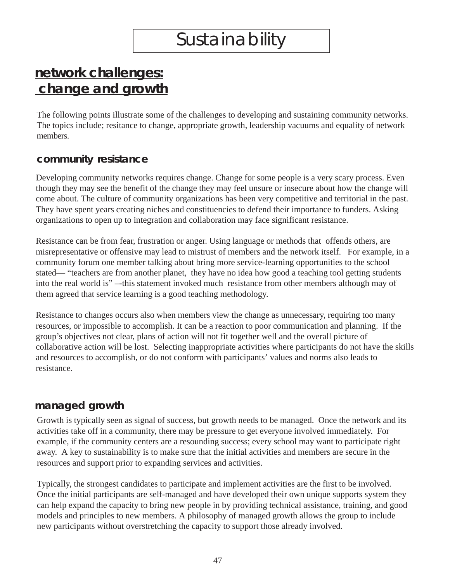# **Sustainability**

## <span id="page-47-0"></span>**network challenges: change and growth**

The following points illustrate some of the challenges to developing and sustaining community networks. The topics include; resitance to change, appropriate growth, leadership vacuums and equality of network members.

## **community resistance**

Developing community networks requires change. Change for some people is a very scary process. Even though they may see the benefit of the change they may feel unsure or insecure about how the change will come about. The culture of community organizations has been very competitive and territorial in the past. They have spent years creating niches and constituencies to defend their importance to funders. Asking organizations to open up to integration and collaboration may face significant resistance.

Resistance can be from fear, frustration or anger. Using language or methods that offends others, are misrepresentative or offensive may lead to mistrust of members and the network itself. For example, in a community forum one member talking about bring more service-learning opportunities to the school stated— "teachers are from another planet, they have no idea how good a teaching tool getting students into the real world is" –-this statement invoked much resistance from other members although may of them agreed that service learning is a good teaching methodology.

Resistance to changes occurs also when members view the change as unnecessary, requiring too many resources, or impossible to accomplish. It can be a reaction to poor communication and planning. If the group's objectives not clear, plans of action will not fit together well and the overall picture of collaborative action will be lost. Selecting inappropriate activities where participants do not have the skills and resources to accomplish, or do not conform with participants' values and norms also leads to resistance.

## **managed growth**

Growth is typically seen as signal of success, but growth needs to be managed. Once the network and its activities take off in a community, there may be pressure to get everyone involved immediately. For example, if the community centers are a resounding success; every school may want to participate right away. A key to sustainability is to make sure that the initial activities and members are secure in the resources and support prior to expanding services and activities.

Typically, the strongest candidates to participate and implement activities are the first to be involved. Once the initial participants are self-managed and have developed their own unique supports system they can help expand the capacity to bring new people in by providing technical assistance, training, and good models and principles to new members. A philosophy of managed growth allows the group to include new participants without overstretching the capacity to support those already involved.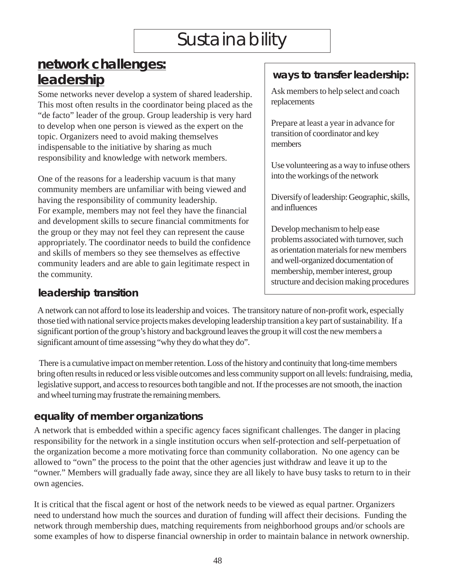# Sustainability

## **network challenges: leadership ways to transfer leadership:**

Some networks never develop a system of shared leadership. This most often results in the coordinator being placed as the "de facto" leader of the group. Group leadership is very hard to develop when one person is viewed as the expert on the topic. Organizers need to avoid making themselves indispensable to the initiative by sharing as much responsibility and knowledge with network members.<br>Use volunteering as a way to infuse others

One of the reasons for a leadership vacuum is that many into the workings of the network community members are unfamiliar with being viewed and having the responsibility of community leadership. For example, members may not feel they have the financial and development skills to secure financial commitments for the group or they may not feel they can represent the cause appropriately. The coordinator needs to build the confidence and skills of members so they see themselves as effective community leaders and are able to gain legitimate respect in the community.

## **leadership transition**

Ask members to help select and coach replacements

Prepare at least a year in advance for transition of coordinator and key members

Diversify of leadership: Geographic, skills, and influences

Develop mechanism to help ease problems associated with turnover, such as orientation materials for new members and well-organized documentation of membership, member interest, group structure and decision making procedures

A network can not afford to lose its leadership and voices. The transitory nature of non-profit work, especially those tied with national service projects makes developing leadership transition a key part of sustainability. If a significant portion of the group's history and background leaves the group it will cost the new members a significant amount of time assessing "why they do what they do".

 There is a cumulative impact on member retention. Loss of the history and continuity that long-time members bring often results in reduced or less visible outcomes and less community support on all levels: fundraising, media, legislative support, and access to resources both tangible and not. If the processes are not smooth, the inaction and wheel turning may frustrate the remaining members.

## **equality of member organizations**

A network that is embedded within a specific agency faces significant challenges. The danger in placing responsibility for the network in a single institution occurs when self-protection and self-perpetuation of the organization become a more motivating force than community collaboration. No one agency can be allowed to "own" the process to the point that the other agencies just withdraw and leave it up to the "owner." Members will gradually fade away, since they are all likely to have busy tasks to return to in their own agencies.

It is critical that the fiscal agent or host of the network needs to be viewed as equal partner. Organizers need to understand how much the sources and duration of funding will affect their decisions. Funding the network through membership dues, matching requirements from neighborhood groups and/or schools are some examples of how to disperse financial ownership in order to maintain balance in network ownership.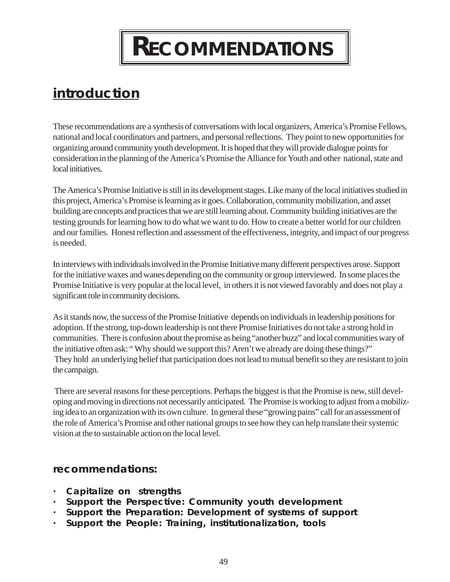# **RECOMMENDATIONS**

## <span id="page-49-0"></span>**introduction**

These recommendations are a synthesis of conversations with local organizers, America's Promise Fellows, national and local coordinators and partners, and personal reflections. They point to new opportunities for organizing around community youth development. It is hoped that they will provide dialogue points for consideration in the planning of the America's Promise the Alliance for Youth and other national, state and local initiatives.

The America's Promise Initiative is still in its development stages. Like many of the local initiatives studied in this project, America's Promise is learning as it goes. Collaboration, community mobilization, and asset building are concepts and practices that we are still learning about. Community building initiatives are the testing grounds for learning how to do what we want to do. How to create a better world for our children and our families. Honest reflection and assessment of the effectiveness, integrity, and impact of our progress is needed.

In interviews with individuals involved in the Promise Initiative many different perspectives arose. Support for the initiative waxes and wanes depending on the community or group interviewed. In some places the Promise Initiative is very popular at the local level, in others it is not viewed favorably and does not play a significant role in community decisions.

As it stands now, the success of the Promise Initiative depends on individuals in leadership positions for adoption. If the strong, top-down leadership is not there Promise Initiatives do not take a strong hold in communities. There is confusion about the promise as being "another buzz" and local communities wary of the initiative often ask: " Why should we support this? Aren't we already are doing these things?" They hold an underlying belief that participation does not lead to mutual benefit so they are resistant to join the campaign.

 There are several reasons for these perceptions. Perhaps the biggest is that the Promise is new, still developing and moving in directions not necessarily anticipated. The Promise is working to adjust from a mobilizing idea to an organization with its own culture. In general these "growing pains" call for an assessment of the role of America's Promise and other national groups to see how they can help translate their systemic vision at the to sustainable action on the local level.

## **recommendations:**

- **· Capitalize on strengths**
- **· Support the Perspective: Community youth development**
- **· Support the Preparation: Development of systems of support**
- **· Support the People: Training, institutionalization, tools**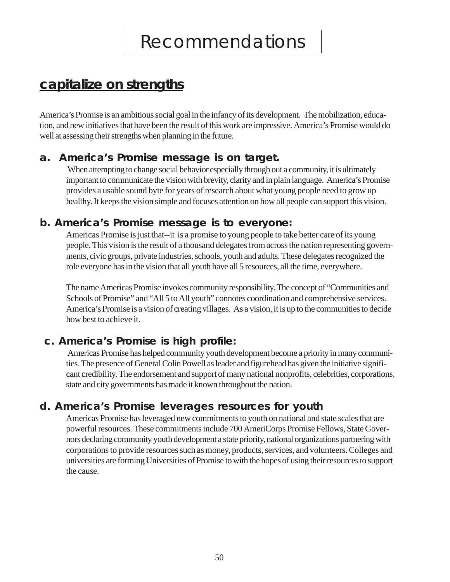## **capitalize on strengths**

America's Promise is an ambitious social goal in the infancy of its development. The mobilization, education, and new initiatives that have been the result of this work are impressive. America's Promise would do well at assessing their strengths when planning in the future.

## **a. America's Promise message is on target.**

 When attempting to change social behavior especially through out a community, it is ultimately important to communicate the vision with brevity, clarity and in plain language. America's Promise provides a usable sound byte for years of research about what young people need to grow up healthy. It keeps the vision simple and focuses attention on how all people can support this vision.

## **b. America's Promise message is to everyone:**

Americas Promise is just that--it is a promise to young people to take better care of its young people. This vision is the result of a thousand delegates from across the nation representing governments, civic groups, private industries, schools, youth and adults. These delegates recognized the role everyone has in the vision that all youth have all 5 resources, all the time, everywhere.

The name Americas Promise invokes community responsibility. The concept of "Communities and Schools of Promise" and "All 5 to All youth" connotes coordination and comprehensive services. America's Promise is a vision of creating villages. As a vision, it is up to the communities to decide how best to achieve it.

## **c. America's Promise is high profile:**

 Americas Promise has helped community youth development become a priority in many communities. The presence of General Colin Powell as leader and figurehead has given the initiative significant credibility. The endorsement and support of many national nonprofits, celebrities, corporations, state and city governments has made it known throughout the nation.

## **d. America's Promise leverages resources for youth**

Americas Promise has leveraged new commitments to youth on national and state scales that are powerful resources. These commitments include 700 AmeriCorps Promise Fellows, State Governors declaring community youth development a state priority, national organizations partnering with corporations to provide resources such as money, products, services, and volunteers. Colleges and universities are forming Universities of Promise to with the hopes of using their resources to support the cause.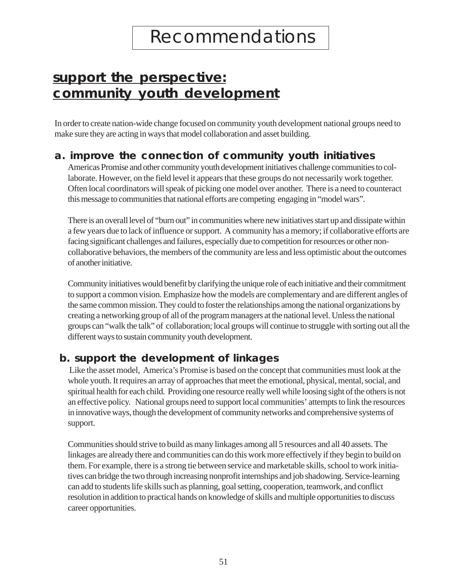## **support the perspective: community youth development**

In order to create nation-wide change focused on community youth development national groups need to make sure they are acting in ways that model collaboration and asset building.

## **a. improve the connection of community youth initiatives**

Americas Promise and other community youth development initiatives challenge communities to collaborate. However, on the field level it appears that these groups do not necessarily work together. Often local coordinators will speak of picking one model over another. There is a need to counteract this message to communities that national efforts are competing engaging in "model wars".

There is an overall level of "burn out" in communities where new initiatives start up and dissipate within a few years due to lack of influence or support. A community has a memory; if collaborative efforts are facing significant challenges and failures, especially due to competition for resources or other noncollaborative behaviors, the members of the community are less and less optimistic about the outcomes of another initiative.

Community initiatives would benefit by clarifying the unique role of each initiative and their commitment to support a common vision. Emphasize how the models are complementary and are different angles of the same common mission. They could to foster the relationships among the national organizations by creating a networking group of all of the program managers at the national level. Unless the national groups can "walk the talk" of collaboration; local groups will continue to struggle with sorting out all the different ways to sustain community youth development.

## **b. support the development of linkages**

 Like the asset model, America's Promise is based on the concept that communities must look at the whole youth. It requires an array of approaches that meet the emotional, physical, mental, social, and spiritual health for each child. Providing one resource really well while loosing sight of the others is not an effective policy. National groups need to support local communities' attempts to link the resources in innovative ways, though the development of community networks and comprehensive systems of support.

Communities should strive to build as many linkages among all 5 resources and all 40 assets. The linkages are already there and communities can do this work more effectively if they begin to build on them. For example, there is a strong tie between service and marketable skills, school to work initiatives can bridge the two through increasing nonprofit internships and job shadowing. Service-learning can add to students life skills such as planning, goal setting, cooperation, teamwork, and conflict resolution in addition to practical hands on knowledge of skills and multiple opportunities to discuss career opportunities.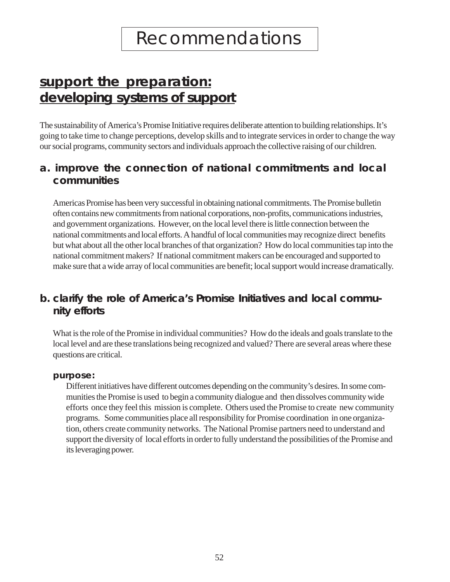## **support the preparation: developing systems of support**

The sustainability of America's Promise Initiative requires deliberate attention to building relationships. It's going to take time to change perceptions, develop skills and to integrate services in order to change the way our social programs, community sectors and individuals approach the collective raising of our children.

## **a. improve the connection of national commitments and local communities**

Americas Promise has been very successful in obtaining national commitments. The Promise bulletin often contains new commitments from national corporations, non-profits, communications industries, and government organizations. However, on the local level there is little connection between the national commitments and local efforts. A handful of local communities may recognize direct benefits but what about all the other local branches of that organization? How do local communities tap into the national commitment makers? If national commitment makers can be encouraged and supported to make sure that a wide array of local communities are benefit; local support would increase dramatically.

## **b. clarify the role of America's Promise Initiatives and local community efforts**

What is the role of the Promise in individual communities? How do the ideals and goals translate to the local level and are these translations being recognized and valued? There are several areas where these questions are critical.

#### *purpose:*

Different initiatives have different outcomes depending on the community's desires. In some communities the Promise is used to begin a community dialogue and then dissolves community wide efforts once they feel this mission is complete. Others used the Promise to create new community programs. Some communities place all responsibility for Promise coordination in one organization, others create community networks. The National Promise partners need to understand and support the diversity of local efforts in order to fully understand the possibilities of the Promise and its leveraging power.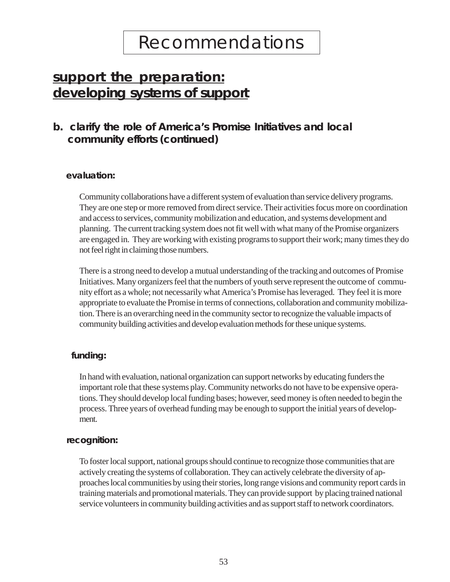## **support the preparation: developing systems of support**

## **b. clarify the role of America's Promise Initiatives and local community efforts (continued)**

#### *evaluation:*

Community collaborations have a different system of evaluation than service delivery programs. They are one step or more removed from direct service. Their activities focus more on coordination and access to services, community mobilization and education, and systems development and planning. The current tracking system does not fit well with what many of the Promise organizers are engaged in. They are working with existing programs to support their work; many times they do not feel right in claiming those numbers.

There is a strong need to develop a mutual understanding of the tracking and outcomes of Promise Initiatives. Many organizers feel that the numbers of youth serve represent the outcome of community effort as a whole; not necessarily what America's Promise has leveraged. They feel it is more appropriate to evaluate the Promise in terms of connections, collaboration and community mobilization. There is an overarching need in the community sector to recognize the valuable impacts of community building activities and develop evaluation methods for these unique systems.

### *funding:*

In hand with evaluation, national organization can support networks by educating funders the important role that these systems play. Community networks do not have to be expensive operations. They should develop local funding bases; however, seed money is often needed to begin the process. Three years of overhead funding may be enough to support the initial years of development.

#### *recognition:*

To foster local support, national groups should continue to recognize those communities that are actively creating the systems of collaboration. They can actively celebrate the diversity of approaches local communities by using their stories, long range visions and community report cards in training materials and promotional materials. They can provide support by placing trained national service volunteers in community building activities and as support staff to network coordinators.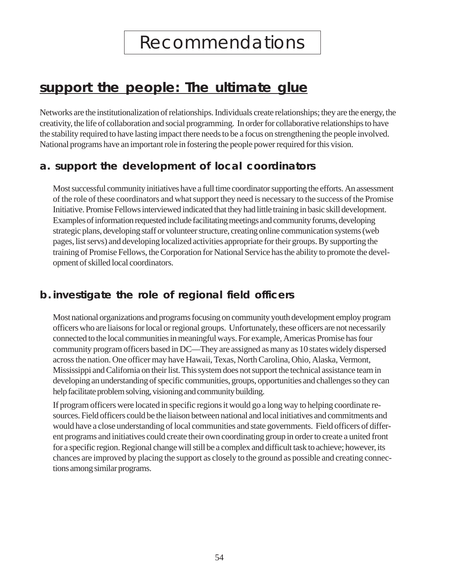## **support the people: The ultimate glue**

Networks are the institutionalization of relationships. Individuals create relationships; they are the energy, the creativity, the life of collaboration and social programming. In order for collaborative relationships to have the stability required to have lasting impact there needs to be a focus on strengthening the people involved. National programs have an important role in fostering the people power required for this vision.

## **a. support the development of local coordinators**

Most successful community initiatives have a full time coordinator supporting the efforts. An assessment of the role of these coordinators and what support they need is necessary to the success of the Promise Initiative. Promise Fellows interviewed indicated that they had little training in basic skill development. Examples of information requested include facilitating meetings and community forums, developing strategic plans, developing staff or volunteer structure, creating online communication systems (web pages, list servs) and developing localized activities appropriate for their groups. By supporting the training of Promise Fellows, the Corporation for National Service has the ability to promote the development of skilled local coordinators.

## **b. investigate the role of regional field officers**

Most national organizations and programs focusing on community youth development employ program officers who are liaisons for local or regional groups. Unfortunately, these officers are not necessarily connected to the local communities in meaningful ways. For example, Americas Promise has four community program officers based in DC—They are assigned as many as 10 states widely dispersed across the nation. One officer may have Hawaii, Texas, North Carolina, Ohio, Alaska, Vermont, Mississippi and California on their list. This system does not support the technical assistance team in developing an understanding of specific communities, groups, opportunities and challenges so they can help facilitate problem solving, visioning and community building.

If program officers were located in specific regions it would go a long way to helping coordinate resources. Field officers could be the liaison between national and local initiatives and commitments and would have a close understanding of local communities and state governments. Field officers of different programs and initiatives could create their own coordinating group in order to create a united front for a specific region. Regional change will still be a complex and difficult task to achieve; however, its chances are improved by placing the support as closely to the ground as possible and creating connections among similar programs.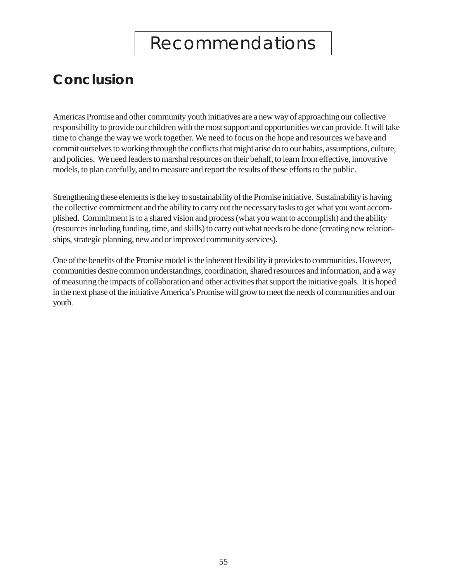## **Conclusion**

Americas Promise and other community youth initiatives are a new way of approaching our collective responsibility to provide our children with the most support and opportunities we can provide. It will take time to change the way we work together. We need to focus on the hope and resources we have and commit ourselves to working through the conflicts that might arise do to our habits, assumptions, culture, and policies. We need leaders to marshal resources on their behalf, to learn from effective, innovative models, to plan carefully, and to measure and report the results of these efforts to the public.

Strengthening these elements is the key to sustainability of the Promise initiative. Sustainability is having the collective commitment and the ability to carry out the necessary tasks to get what you want accomplished. Commitment is to a shared vision and process (what you want to accomplish) and the ability (resources including funding, time, and skills) to carry out what needs to be done (creating new relationships, strategic planning, new and or improved community services).

One of the benefits of the Promise model is the inherent flexibility it provides to communities. However, communities desire common understandings, coordination, shared resources and information, and a way of measuring the impacts of collaboration and other activities that support the initiative goals. It is hoped in the next phase of the initiative America's Promise will grow to meet the needs of communities and our youth.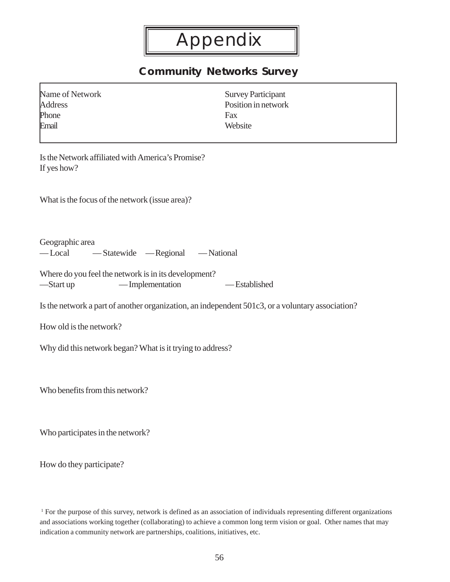## **Community Networks Survey**

<span id="page-56-0"></span>

| Name of Network | <b>Survey Participant</b> |
|-----------------|---------------------------|
| Address         | Position in network       |
| Phone           | Fax                       |
| Fmail           | Website                   |
|                 |                           |

Is the Network affiliated with America's Promise? If yes how?

What is the focus of the network (issue area)?

Geographic area

— Local — Statewide — Regional — National

Where do you feel the network is in its development? —Start up — Implementation — Established

Is the network a part of another organization, an independent 501c3, or a voluntary association?

How old is the network?

Why did this network began? What is it trying to address?

Who benefits from this network?

Who participates in the network?

How do they participate?

<sup>1</sup> For the purpose of this survey, network is defined as an association of individuals representing different organizations and associations working together (collaborating) to achieve a common long term vision or goal. Other names that may indication a community network are partnerships, coalitions, initiatives, etc.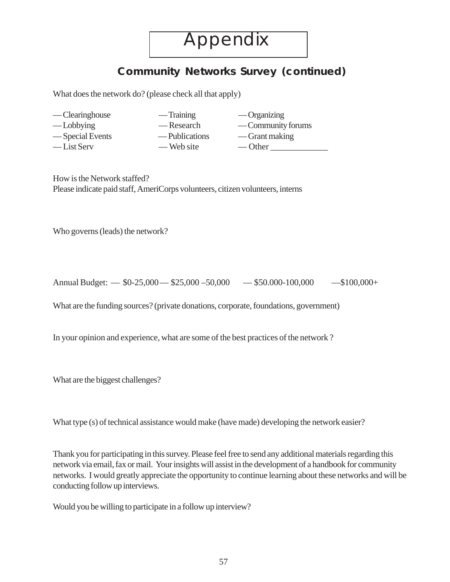## **Community Networks Survey (continued)**

What does the network do? (please check all that apply)

- Clearinghouse Training Organizing
- -
- 
- 
- 
- 
- $-$  Web site
- Lobbying Research Community forums — Special Events — Publications — Grant making  $-\text{List Serv}$  — Web site — Other

Ξ

How is the Network staffed? Please indicate paid staff, AmeriCorps volunteers, citizen volunteers, interns

Who governs (leads) the network?

Annual Budget:  $-$  \$0-25,000  $-$  \$25,000  $-$  50,000  $-$  \$50.000-100,000  $-$  \$100,000+

What are the funding sources? (private donations, corporate, foundations, government)

In your opinion and experience, what are some of the best practices of the network ?

What are the biggest challenges?

What type (s) of technical assistance would make (have made) developing the network easier?

Thank you for participating in this survey. Please feel free to send any additional materials regarding this network via email, fax or mail. Your insights will assist in the development of a handbook for community networks. I would greatly appreciate the opportunity to continue learning about these networks and will be conducting follow up interviews.

Would you be willing to participate in a follow up interview?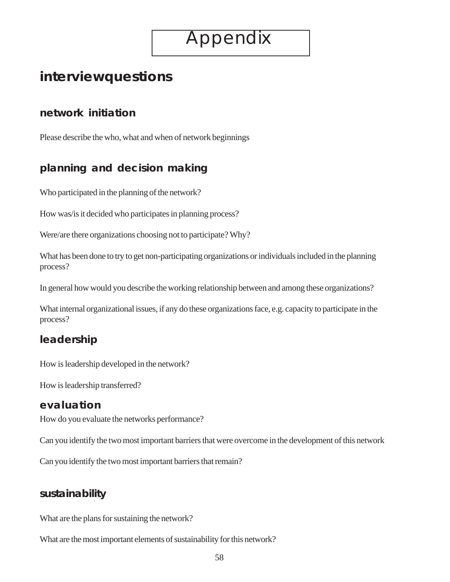Ξ

## **interviewquestions**

## **network initiation**

Please describe the who, what and when of network beginnings

## **planning and decision making**

Who participated in the planning of the network?

How was/is it decided who participates in planning process?

Were/are there organizations choosing not to participate? Why?

What has been done to try to get non-participating organizations or individuals included in the planning process?

In general how would you describe the working relationship between and among these organizations?

What internal organizational issues, if any do these organizations face, e.g. capacity to participate in the process?

## **leadership**

How is leadership developed in the network?

How is leadership transferred?

## **evaluation**

How do you evaluate the networks performance?

Can you identify the two most important barriers that were overcome in the development of this network

Can you identify the two most important barriers that remain?

## **sustainability**

What are the plans for sustaining the network?

What are the most important elements of sustainability for this network?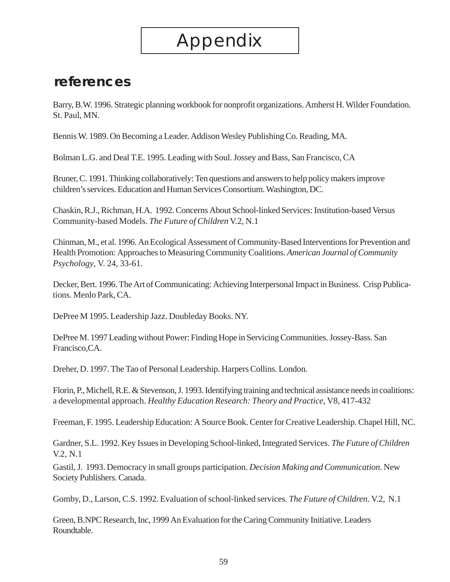## **references**

Barry, B.W. 1996. Strategic planning workbook for nonprofit organizations. Amherst H. Wilder Foundation. St. Paul, MN.

Bennis W. 1989. On Becoming a Leader. Addison Wesley Publishing Co. Reading, MA.

Bolman L.G. and Deal T.E. 1995. Leading with Soul. Jossey and Bass, San Francisco, CA

Bruner, C. 1991. Thinking collaboratively: Ten questions and answers to help policy makers improve children's services. Education and Human Services Consortium. Washington, DC.

Chaskin, R.J., Richman, H.A. 1992. Concerns About School-linked Services: Institution-based Versus Community-based Models. *The Future of Children* V.2, N.1

Chinman, M., et al. 1996. An Ecological Assessment of Community-Based Interventions for Prevention and Health Promotion: Approaches to Measuring Community Coalitions. *American Journal of Community Psychology*, V. 24, 33-61.

Decker, Bert. 1996. The Art of Communicating: Achieving Interpersonal Impact in Business. Crisp Publications. Menlo Park, CA.

DePree M 1995. Leadership Jazz. Doubleday Books. NY.

DePree M. 1997 Leading without Power: Finding Hope in Servicing Communities. Jossey-Bass. San Francisco,CA.

Dreher, D. 1997. The Tao of Personal Leadership. Harpers Collins. London.

Florin, P., Michell, R.E. & Stevenson, J. 1993. Identifying training and technical assistance needs in coalitions: a developmental approach. *Healthy Education Research: Theory and Practice*, V8, 417-432

Freeman, F. 1995. Leadership Education: A Source Book. Center for Creative Leadership. Chapel Hill, NC.

Gardner, S.L. 1992. Key Issues in Developing School-linked, Integrated Services. *The Future of Children* V.2, N.1

Gastil, J. 1993. Democracy in small groups participation. *Decision Making and Communication*. New Society Publishers. Canada.

Gomby, D., Larson, C.S. 1992. Evaluation of school-linked services. *The Future of Children*. V.2, N.1

Green, B.NPC Research, Inc, 1999 An Evaluation for the Caring Community Initiative. Leaders Roundtable.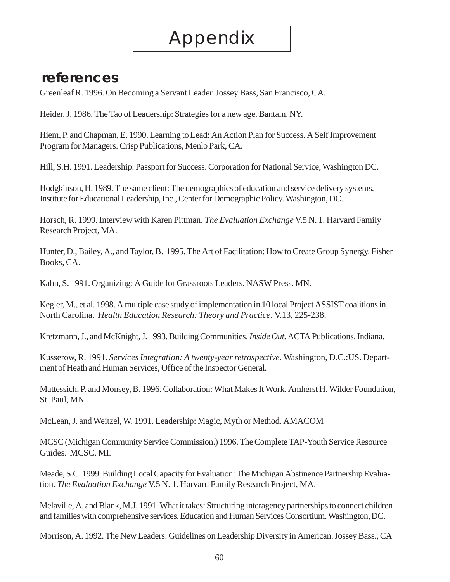## **references**

Greenleaf R. 1996. On Becoming a Servant Leader. Jossey Bass, San Francisco, CA.

Heider, J. 1986. The Tao of Leadership: Strategies for a new age. Bantam. NY.

Hiem, P. and Chapman, E. 1990. Learning to Lead: An Action Plan for Success. A Self Improvement Program for Managers. Crisp Publications, Menlo Park, CA.

Hill, S.H. 1991. Leadership: Passport for Success. Corporation for National Service, Washington DC.

Hodgkinson, H. 1989. The same client: The demographics of education and service delivery systems. Institute for Educational Leadership, Inc., Center for Demographic Policy. Washington, DC.

Horsch, R. 1999. Interview with Karen Pittman. *The Evaluation Exchange* V.5 N. 1. Harvard Family Research Project, MA.

Hunter, D., Bailey, A., and Taylor, B. 1995. The Art of Facilitation: How to Create Group Synergy. Fisher Books, CA.

Kahn, S. 1991. Organizing: A Guide for Grassroots Leaders. NASW Press. MN.

Kegler, M., et al. 1998. A multiple case study of implementation in 10 local Project ASSIST coalitions in North Carolina. *Health Education Research: Theory and Practice*, V.13, 225-238.

Kretzmann, J., and McKnight, J. 1993. Building Communities. *Inside Out.* ACTA Publications. Indiana.

Kusserow, R. 1991. *Services Integration: A twenty-year retrospective.* Washington, D.C.:US. Department of Heath and Human Services, Office of the Inspector General.

Mattessich, P. and Monsey, B. 1996. Collaboration: What Makes It Work. Amherst H. Wilder Foundation, St. Paul, MN

McLean, J. and Weitzel, W. 1991. Leadership: Magic, Myth or Method. AMACOM

MCSC (Michigan Community Service Commission.) 1996. The Complete TAP-Youth Service Resource Guides. MCSC. MI.

Meade, S.C. 1999. Building Local Capacity for Evaluation: The Michigan Abstinence Partnership Evaluation. *The Evaluation Exchange* V.5 N. 1. Harvard Family Research Project, MA.

Melaville, A. and Blank, M.J. 1991. What it takes: Structuring interagency partnerships to connect children and families with comprehensive services. Education and Human Services Consortium. Washington, DC.

Morrison, A. 1992. The New Leaders: Guidelines on Leadership Diversity in American. Jossey Bass., CA